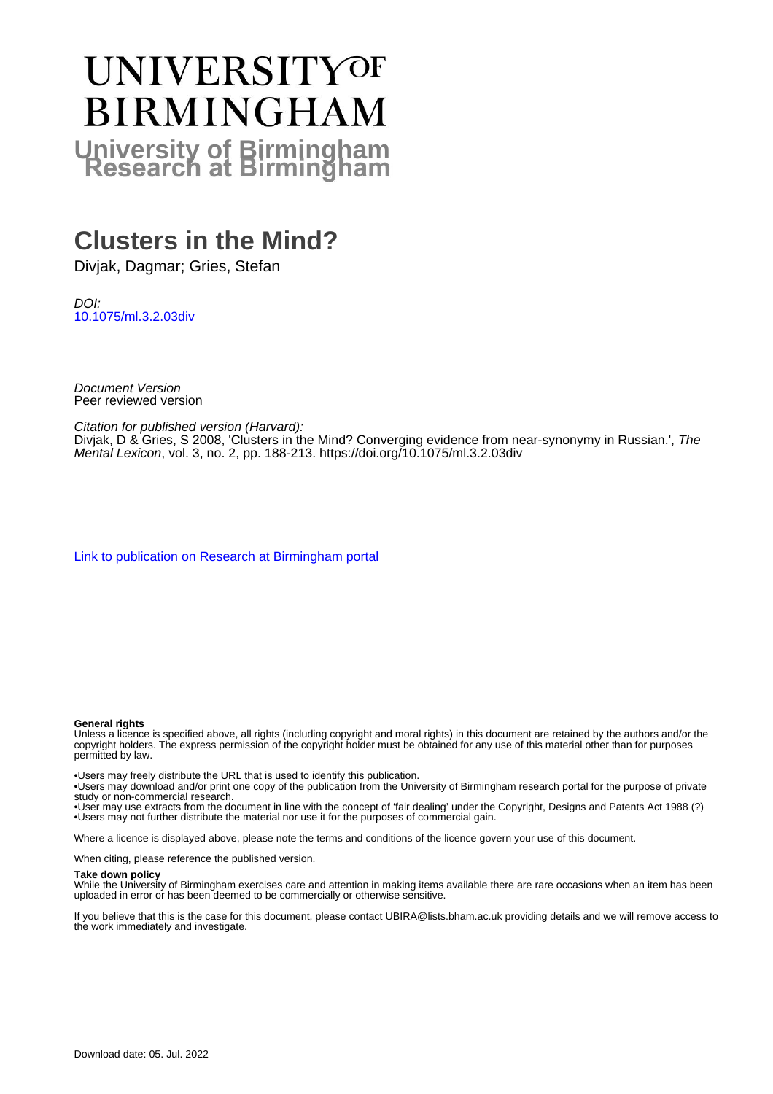# **UNIVERSITYOF BIRMINGHAM University of Birmingham**

# **Clusters in the Mind?**

Divjak, Dagmar; Gries, Stefan

DOI: [10.1075/ml.3.2.03div](https://doi.org/10.1075/ml.3.2.03div)

Document Version Peer reviewed version

Citation for published version (Harvard):

Divjak, D & Gries, S 2008, 'Clusters in the Mind? Converging evidence from near-synonymy in Russian.', The Mental Lexicon, vol. 3, no. 2, pp. 188-213. <https://doi.org/10.1075/ml.3.2.03div>

[Link to publication on Research at Birmingham portal](https://birmingham.elsevierpure.com/en/publications/a93c3dd7-7daf-4b52-8d26-40799ab68d73)

#### **General rights**

Unless a licence is specified above, all rights (including copyright and moral rights) in this document are retained by the authors and/or the copyright holders. The express permission of the copyright holder must be obtained for any use of this material other than for purposes permitted by law.

• Users may freely distribute the URL that is used to identify this publication.

• Users may download and/or print one copy of the publication from the University of Birmingham research portal for the purpose of private study or non-commercial research.

• User may use extracts from the document in line with the concept of 'fair dealing' under the Copyright, Designs and Patents Act 1988 (?) • Users may not further distribute the material nor use it for the purposes of commercial gain.

Where a licence is displayed above, please note the terms and conditions of the licence govern your use of this document.

When citing, please reference the published version.

#### **Take down policy**

While the University of Birmingham exercises care and attention in making items available there are rare occasions when an item has been uploaded in error or has been deemed to be commercially or otherwise sensitive.

If you believe that this is the case for this document, please contact UBIRA@lists.bham.ac.uk providing details and we will remove access to the work immediately and investigate.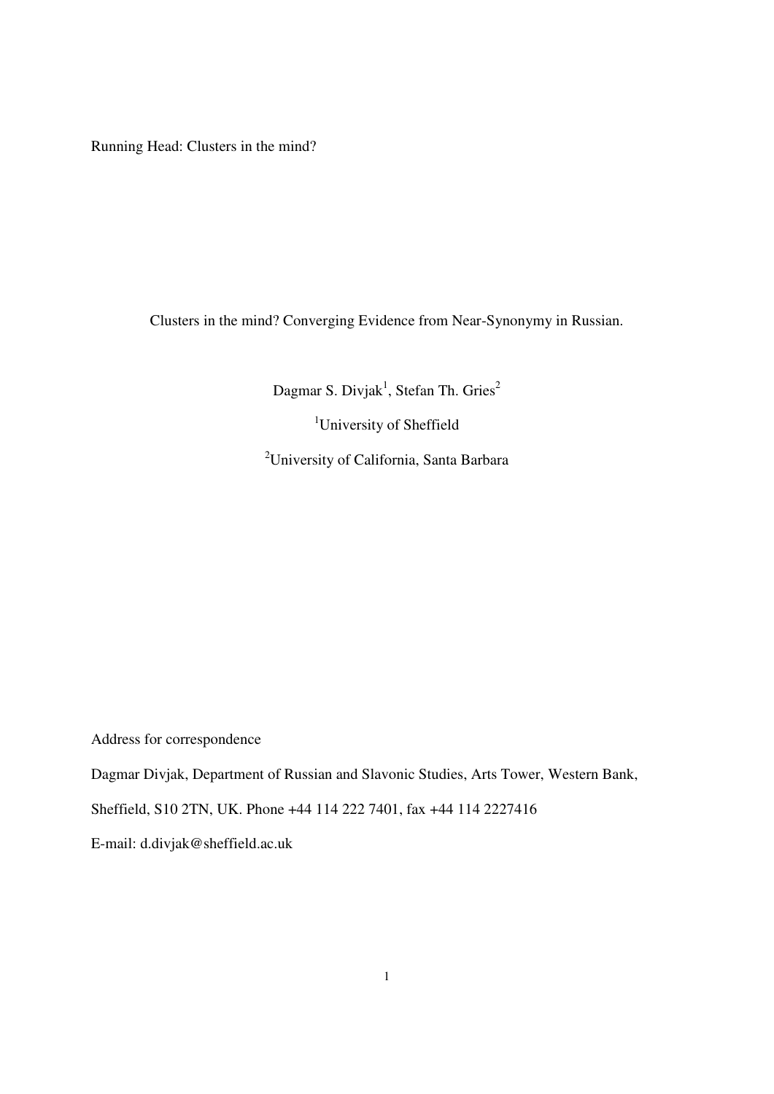Running Head: Clusters in the mind?

Clusters in the mind? Converging Evidence from Near-Synonymy in Russian.

Dagmar S. Divjak<sup>1</sup>, Stefan Th. Gries<sup>2</sup>

<sup>1</sup>University of Sheffield <sup>2</sup>University of California, Santa Barbara

Address for correspondence

Dagmar Divjak, Department of Russian and Slavonic Studies, Arts Tower, Western Bank,

Sheffield, S10 2TN, UK. Phone +44 114 222 7401, fax +44 114 2227416

E-mail: d.divjak@sheffield.ac.uk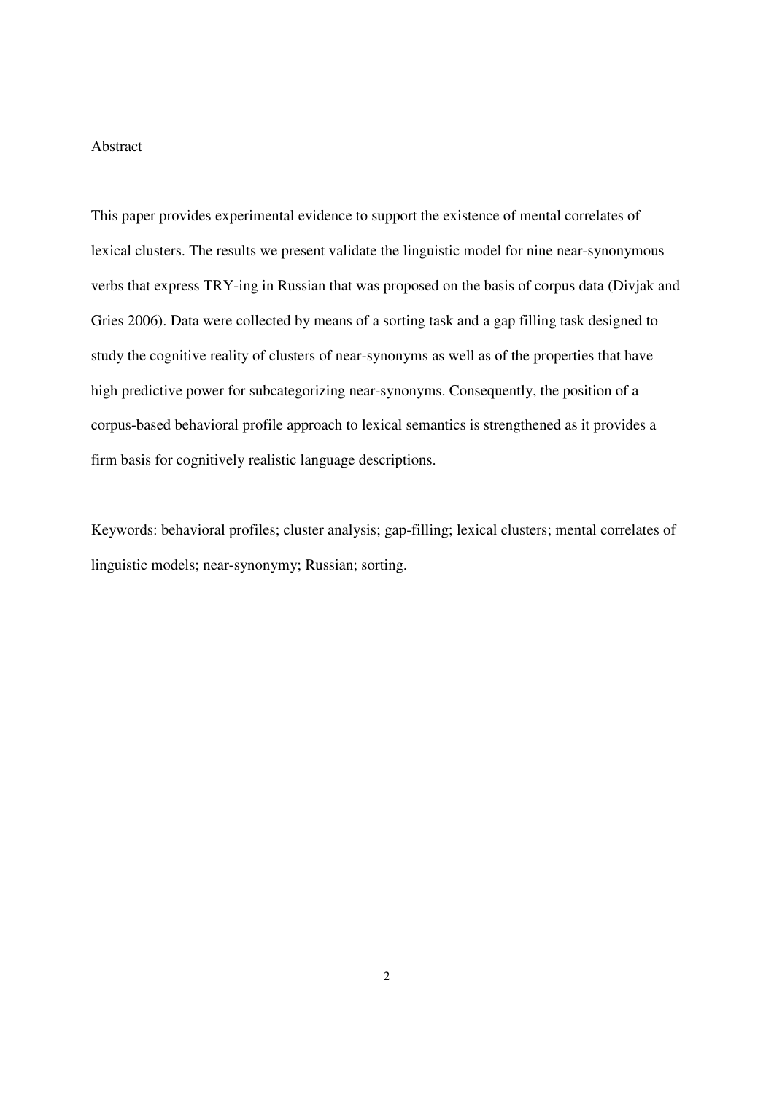#### Abstract

This paper provides experimental evidence to support the existence of mental correlates of lexical clusters. The results we present validate the linguistic model for nine near-synonymous verbs that express TRY-ing in Russian that was proposed on the basis of corpus data (Divjak and Gries 2006). Data were collected by means of a sorting task and a gap filling task designed to study the cognitive reality of clusters of near-synonyms as well as of the properties that have high predictive power for subcategorizing near-synonyms. Consequently, the position of a corpus-based behavioral profile approach to lexical semantics is strengthened as it provides a firm basis for cognitively realistic language descriptions.

Keywords: behavioral profiles; cluster analysis; gap-filling; lexical clusters; mental correlates of linguistic models; near-synonymy; Russian; sorting.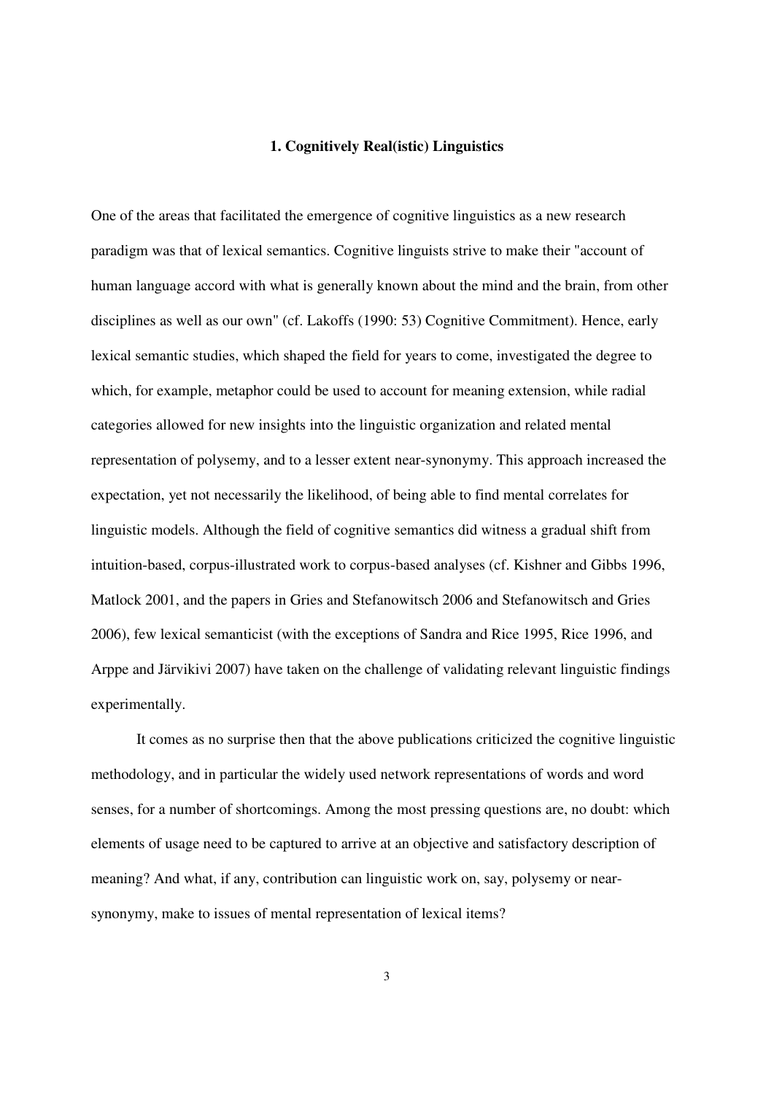#### **1. Cognitively Real(istic) Linguistics**

One of the areas that facilitated the emergence of cognitive linguistics as a new research paradigm was that of lexical semantics. Cognitive linguists strive to make their "account of human language accord with what is generally known about the mind and the brain, from other disciplines as well as our own" (cf. Lakoffs (1990: 53) Cognitive Commitment). Hence, early lexical semantic studies, which shaped the field for years to come, investigated the degree to which, for example, metaphor could be used to account for meaning extension, while radial categories allowed for new insights into the linguistic organization and related mental representation of polysemy, and to a lesser extent near-synonymy. This approach increased the expectation, yet not necessarily the likelihood, of being able to find mental correlates for linguistic models. Although the field of cognitive semantics did witness a gradual shift from intuition-based, corpus-illustrated work to corpus-based analyses (cf. Kishner and Gibbs 1996, Matlock 2001, and the papers in Gries and Stefanowitsch 2006 and Stefanowitsch and Gries 2006), few lexical semanticist (with the exceptions of Sandra and Rice 1995, Rice 1996, and Arppe and Järvikivi 2007) have taken on the challenge of validating relevant linguistic findings experimentally.

 It comes as no surprise then that the above publications criticized the cognitive linguistic methodology, and in particular the widely used network representations of words and word senses, for a number of shortcomings. Among the most pressing questions are, no doubt: which elements of usage need to be captured to arrive at an objective and satisfactory description of meaning? And what, if any, contribution can linguistic work on, say, polysemy or nearsynonymy, make to issues of mental representation of lexical items?

3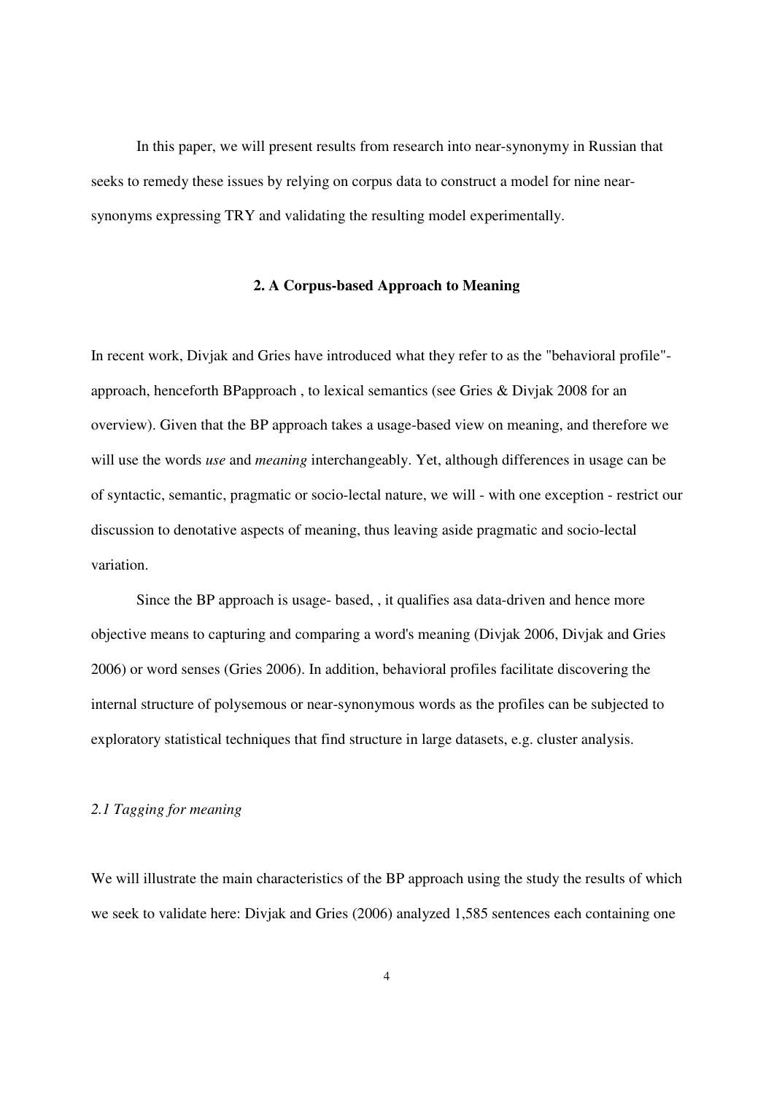In this paper, we will present results from research into near-synonymy in Russian that seeks to remedy these issues by relying on corpus data to construct a model for nine nearsynonyms expressing TRY and validating the resulting model experimentally.

#### **2. A Corpus-based Approach to Meaning**

In recent work, Divjak and Gries have introduced what they refer to as the "behavioral profile" approach, henceforth BPapproach , to lexical semantics (see Gries & Divjak 2008 for an overview). Given that the BP approach takes a usage-based view on meaning, and therefore we will use the words *use* and *meaning* interchangeably. Yet, although differences in usage can be of syntactic, semantic, pragmatic or socio-lectal nature, we will - with one exception - restrict our discussion to denotative aspects of meaning, thus leaving aside pragmatic and socio-lectal variation.

 Since the BP approach is usage- based, , it qualifies asa data-driven and hence more objective means to capturing and comparing a word's meaning (Divjak 2006, Divjak and Gries 2006) or word senses (Gries 2006). In addition, behavioral profiles facilitate discovering the internal structure of polysemous or near-synonymous words as the profiles can be subjected to exploratory statistical techniques that find structure in large datasets, e.g. cluster analysis.

#### *2.1 Tagging for meaning*

We will illustrate the main characteristics of the BP approach using the study the results of which we seek to validate here: Divjak and Gries (2006) analyzed 1,585 sentences each containing one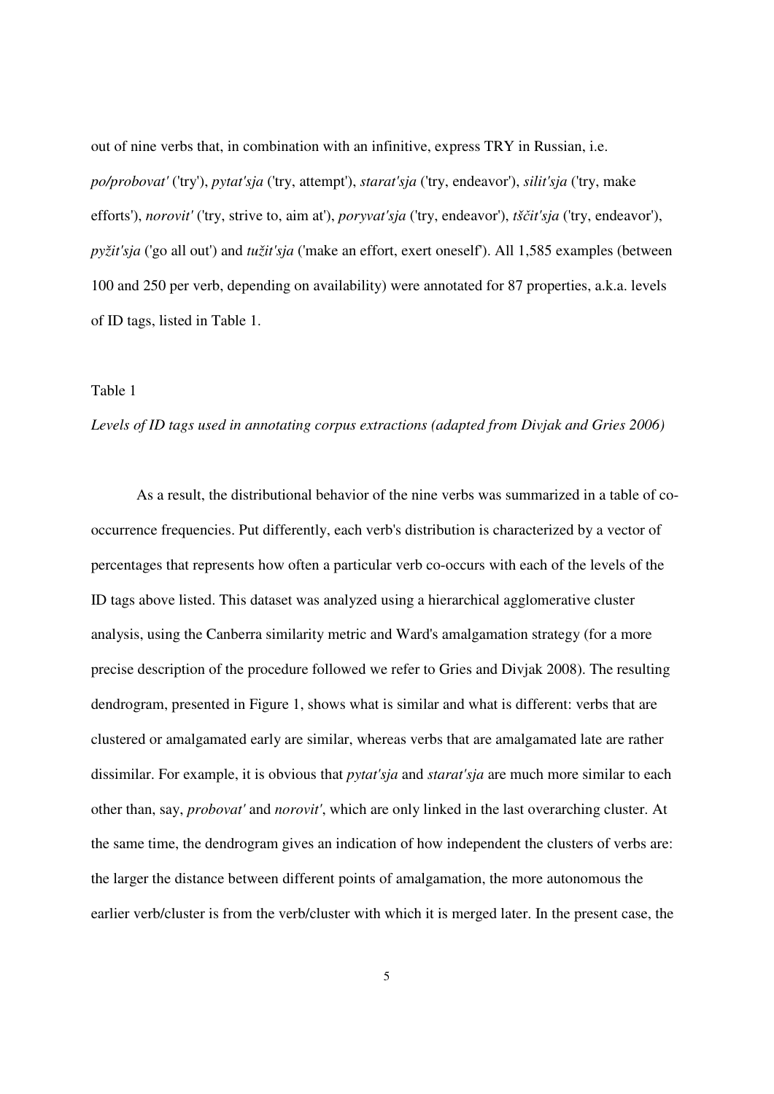out of nine verbs that, in combination with an infinitive, express TRY in Russian, i.e. *po/probovat'* ('try'), *pytat'sja* ('try, attempt'), *starat'sja* ('try, endeavor'), *silit'sja* ('try, make efforts'), *norovit'* ('try, strive to, aim at'), *poryvat'sja* ('try, endeavor'), *tš*č*it'sja* ('try, endeavor'), *pyžit'sja* ('go all out') and *tužit'sja* ('make an effort, exert oneself'). All 1,585 examples (between 100 and 250 per verb, depending on availability) were annotated for 87 properties, a.k.a. levels of ID tags, listed in Table 1.

#### Table 1

#### *Levels of ID tags used in annotating corpus extractions (adapted from Divjak and Gries 2006)*

 As a result, the distributional behavior of the nine verbs was summarized in a table of cooccurrence frequencies. Put differently, each verb's distribution is characterized by a vector of percentages that represents how often a particular verb co-occurs with each of the levels of the ID tags above listed. This dataset was analyzed using a hierarchical agglomerative cluster analysis, using the Canberra similarity metric and Ward's amalgamation strategy (for a more precise description of the procedure followed we refer to Gries and Divjak 2008). The resulting dendrogram, presented in Figure 1, shows what is similar and what is different: verbs that are clustered or amalgamated early are similar, whereas verbs that are amalgamated late are rather dissimilar. For example, it is obvious that *pytat'sja* and *starat'sja* are much more similar to each other than, say, *probovat'* and *norovit'*, which are only linked in the last overarching cluster. At the same time, the dendrogram gives an indication of how independent the clusters of verbs are: the larger the distance between different points of amalgamation, the more autonomous the earlier verb/cluster is from the verb/cluster with which it is merged later. In the present case, the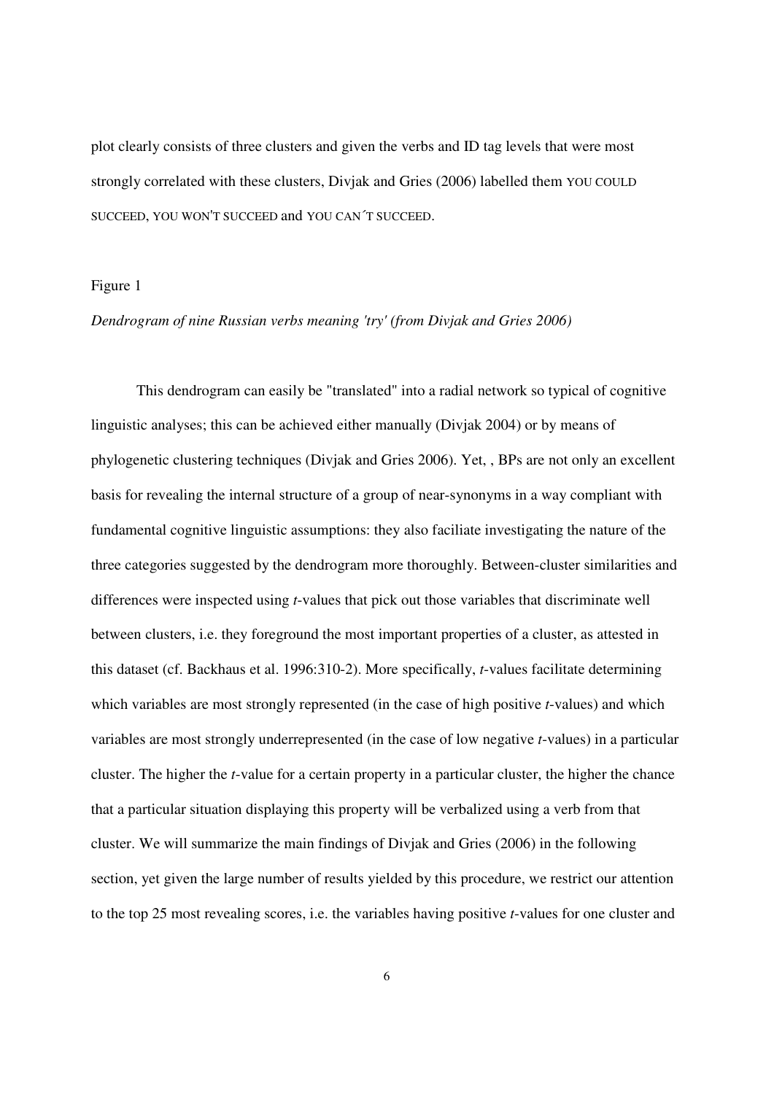plot clearly consists of three clusters and given the verbs and ID tag levels that were most strongly correlated with these clusters, Divjak and Gries (2006) labelled them YOU COULD SUCCEED, YOU WON'T SUCCEED and YOU CAN´T SUCCEED.

### Figure 1

#### *Dendrogram of nine Russian verbs meaning 'try' (from Divjak and Gries 2006)*

 This dendrogram can easily be "translated" into a radial network so typical of cognitive linguistic analyses; this can be achieved either manually (Divjak 2004) or by means of phylogenetic clustering techniques (Divjak and Gries 2006). Yet, , BPs are not only an excellent basis for revealing the internal structure of a group of near-synonyms in a way compliant with fundamental cognitive linguistic assumptions: they also faciliate investigating the nature of the three categories suggested by the dendrogram more thoroughly. Between-cluster similarities and differences were inspected using *t*-values that pick out those variables that discriminate well between clusters, i.e. they foreground the most important properties of a cluster, as attested in this dataset (cf. Backhaus et al. 1996:310-2). More specifically, *t*-values facilitate determining which variables are most strongly represented (in the case of high positive *t*-values) and which variables are most strongly underrepresented (in the case of low negative *t*-values) in a particular cluster. The higher the *t*-value for a certain property in a particular cluster, the higher the chance that a particular situation displaying this property will be verbalized using a verb from that cluster. We will summarize the main findings of Divjak and Gries (2006) in the following section, yet given the large number of results yielded by this procedure, we restrict our attention to the top 25 most revealing scores, i.e. the variables having positive *t*-values for one cluster and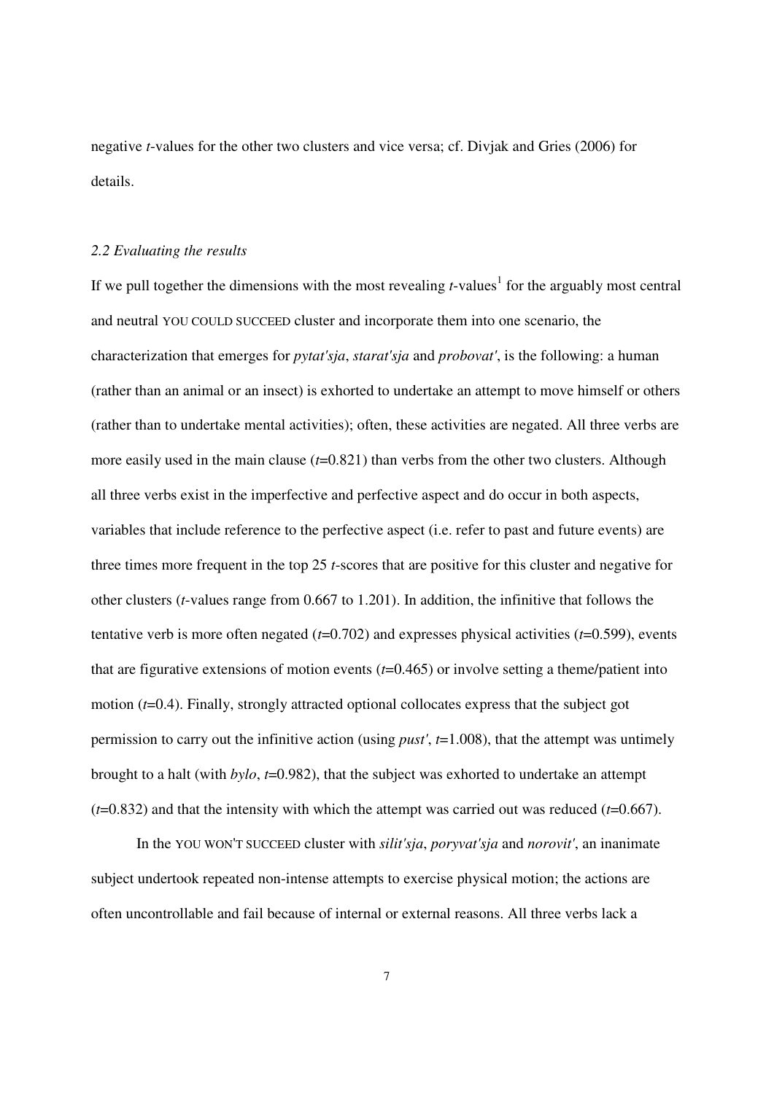negative *t*-values for the other two clusters and vice versa; cf. Divjak and Gries (2006) for details.

#### *2.2 Evaluating the results*

If we pull together the dimensions with the most revealing  $t$ -values<sup>1</sup> for the arguably most central and neutral YOU COULD SUCCEED cluster and incorporate them into one scenario, the characterization that emerges for *pytat'sja*, *starat'sja* and *probovat'*, is the following: a human (rather than an animal or an insect) is exhorted to undertake an attempt to move himself or others (rather than to undertake mental activities); often, these activities are negated. All three verbs are more easily used in the main clause ( $t=0.821$ ) than verbs from the other two clusters. Although all three verbs exist in the imperfective and perfective aspect and do occur in both aspects, variables that include reference to the perfective aspect (i.e. refer to past and future events) are three times more frequent in the top 25 *t*-scores that are positive for this cluster and negative for other clusters (*t*-values range from 0.667 to 1.201). In addition, the infinitive that follows the tentative verb is more often negated (*t*=0.702) and expresses physical activities (*t*=0.599), events that are figurative extensions of motion events (*t*=0.465) or involve setting a theme/patient into motion (*t*=0.4). Finally, strongly attracted optional collocates express that the subject got permission to carry out the infinitive action (using *pust'*, *t*=1.008), that the attempt was untimely brought to a halt (with *bylo*, *t*=0.982), that the subject was exhorted to undertake an attempt  $(t=0.832)$  and that the intensity with which the attempt was carried out was reduced  $(t=0.667)$ .

 In the YOU WON'T SUCCEED cluster with *silit'sja*, *poryvat'sja* and *norovit'*, an inanimate subject undertook repeated non-intense attempts to exercise physical motion; the actions are often uncontrollable and fail because of internal or external reasons. All three verbs lack a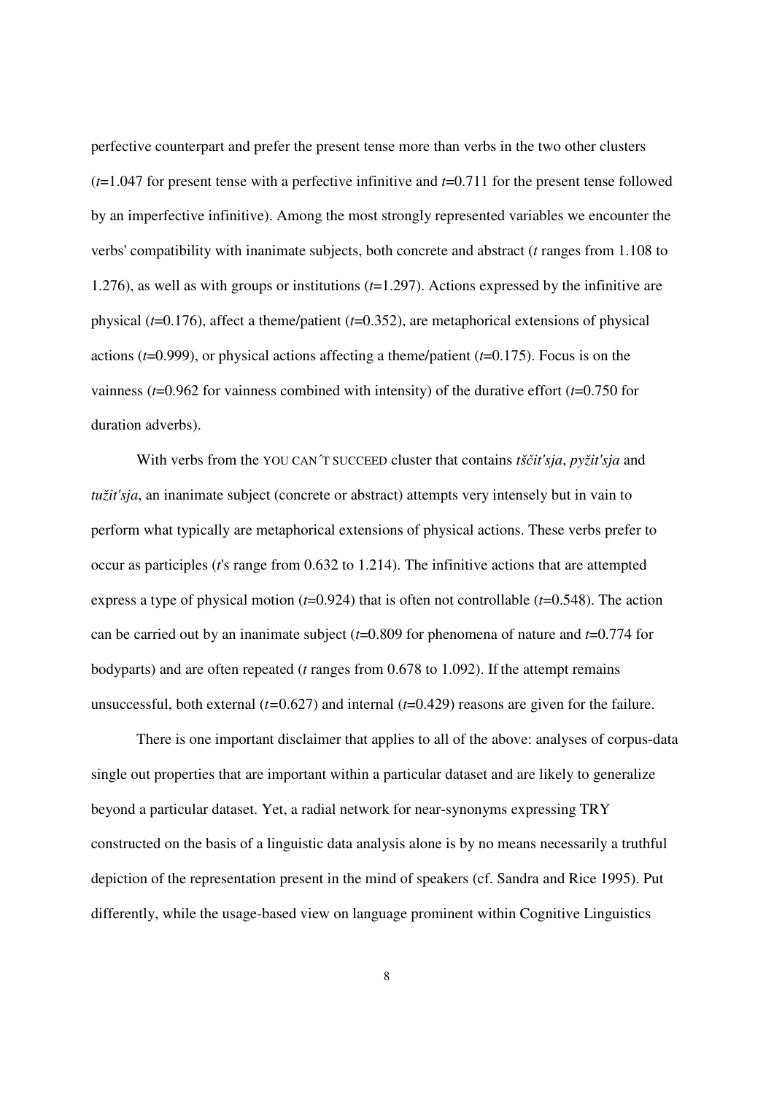perfective counterpart and prefer the present tense more than verbs in the two other clusters (*t*=1.047 for present tense with a perfective infinitive and *t*=0.711 for the present tense followed by an imperfective infinitive). Among the most strongly represented variables we encounter the verbs' compatibility with inanimate subjects, both concrete and abstract (*t* ranges from 1.108 to 1.276), as well as with groups or institutions (*t*=1.297). Actions expressed by the infinitive are physical (*t*=0.176), affect a theme/patient (*t*=0.352), are metaphorical extensions of physical actions (*t*=0.999), or physical actions affecting a theme/patient (*t*=0.175). Focus is on the vainness (*t*=0.962 for vainness combined with intensity) of the durative effort (*t*=0.750 for duration adverbs).

 With verbs from the YOU CAN´T SUCCEED cluster that contains *tš*č*it'sja*, *pyžit'sja* and *tužit'sja*, an inanimate subject (concrete or abstract) attempts very intensely but in vain to perform what typically are metaphorical extensions of physical actions. These verbs prefer to occur as participles (*t*'s range from 0.632 to 1.214). The infinitive actions that are attempted express a type of physical motion (*t*=0.924) that is often not controllable (*t*=0.548). The action can be carried out by an inanimate subject (*t*=0.809 for phenomena of nature and *t*=0.774 for bodyparts) and are often repeated (*t* ranges from 0.678 to 1.092). If the attempt remains unsuccessful, both external (*t=*0.627) and internal (*t*=0.429) reasons are given for the failure.

 There is one important disclaimer that applies to all of the above: analyses of corpus-data single out properties that are important within a particular dataset and are likely to generalize beyond a particular dataset. Yet, a radial network for near-synonyms expressing TRY constructed on the basis of a linguistic data analysis alone is by no means necessarily a truthful depiction of the representation present in the mind of speakers (cf. Sandra and Rice 1995). Put differently, while the usage-based view on language prominent within Cognitive Linguistics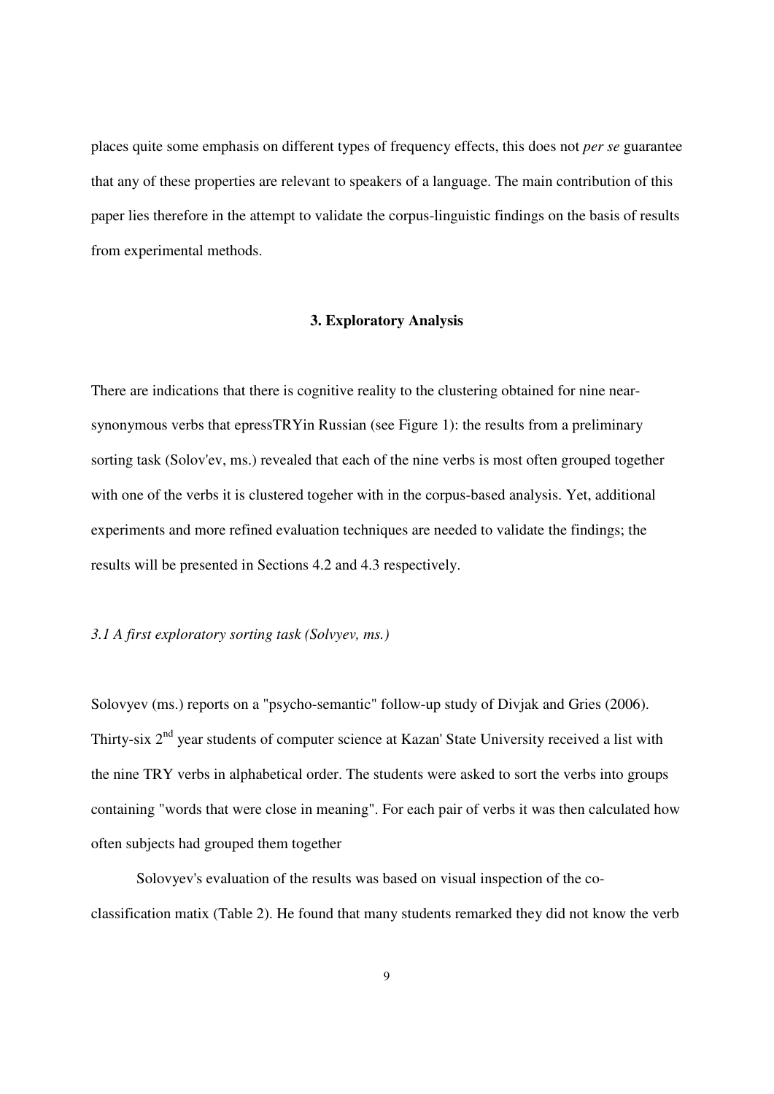places quite some emphasis on different types of frequency effects, this does not *per se* guarantee that any of these properties are relevant to speakers of a language. The main contribution of this paper lies therefore in the attempt to validate the corpus-linguistic findings on the basis of results from experimental methods.

#### **3. Exploratory Analysis**

There are indications that there is cognitive reality to the clustering obtained for nine nearsynonymous verbs that epressTRYin Russian (see Figure 1): the results from a preliminary sorting task (Solov'ev, ms.) revealed that each of the nine verbs is most often grouped together with one of the verbs it is clustered togeher with in the corpus-based analysis. Yet, additional experiments and more refined evaluation techniques are needed to validate the findings; the results will be presented in Sections 4.2 and 4.3 respectively.

### *3.1 A first exploratory sorting task (Solvyev, ms.)*

Solovyev (ms.) reports on a "psycho-semantic" follow-up study of Divjak and Gries (2006). Thirty-six 2<sup>nd</sup> year students of computer science at Kazan' State University received a list with the nine TRY verbs in alphabetical order. The students were asked to sort the verbs into groups containing "words that were close in meaning". For each pair of verbs it was then calculated how often subjects had grouped them together

 Solovyev's evaluation of the results was based on visual inspection of the coclassification matix (Table 2). He found that many students remarked they did not know the verb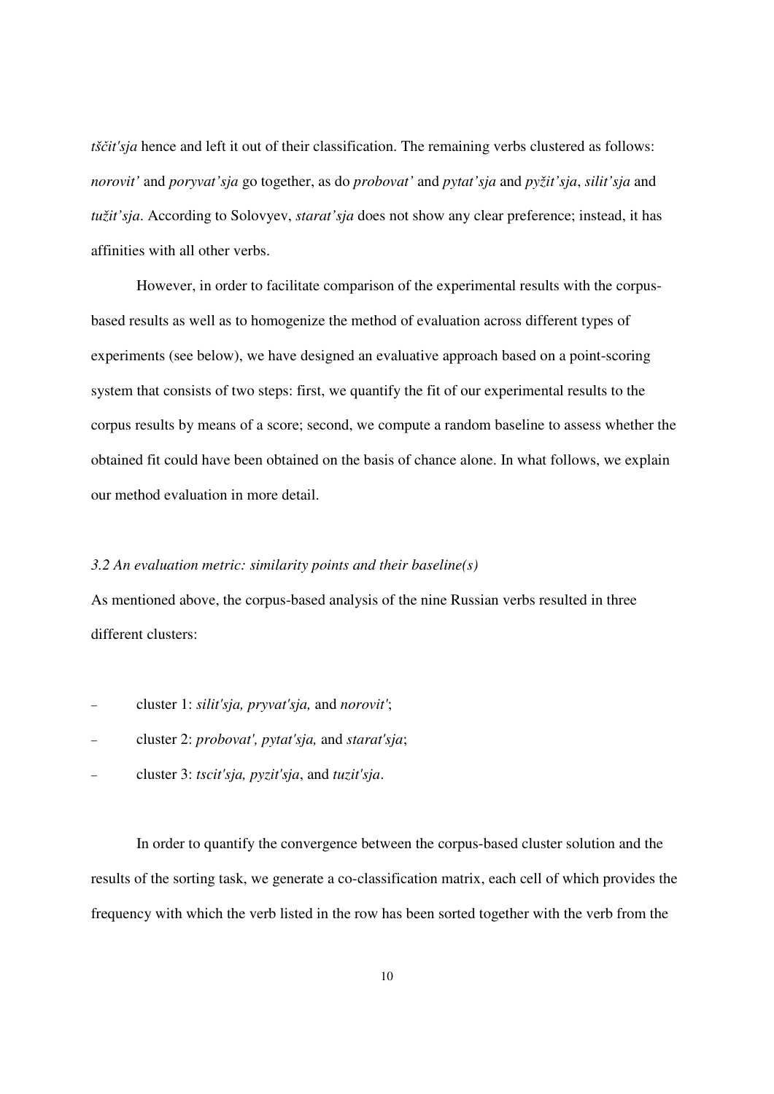*tščit'sja* hence and left it out of their classification. The remaining verbs clustered as follows: *norovit'* and *poryvat'sja* go together, as do *probovat'* and *pytat'sja* and *pyžit'sja*, *silit'sja* and *tužit'sja*. According to Solovyev, *starat'sja* does not show any clear preference; instead, it has affinities with all other verbs.

 However, in order to facilitate comparison of the experimental results with the corpusbased results as well as to homogenize the method of evaluation across different types of experiments (see below), we have designed an evaluative approach based on a point-scoring system that consists of two steps: first, we quantify the fit of our experimental results to the corpus results by means of a score; second, we compute a random baseline to assess whether the obtained fit could have been obtained on the basis of chance alone. In what follows, we explain our method evaluation in more detail.

#### *3.2 An evaluation metric: similarity points and their baseline(s)*

As mentioned above, the corpus-based analysis of the nine Russian verbs resulted in three different clusters:

- − cluster 1: *silit'sja, pryvat'sja,* and *norovit'*;
- − cluster 2: *probovat', pytat'sja,* and *starat'sja*;
- − cluster 3: *tscit'sja, pyzit'sja*, and *tuzit'sja*.

 In order to quantify the convergence between the corpus-based cluster solution and the results of the sorting task, we generate a co-classification matrix, each cell of which provides the frequency with which the verb listed in the row has been sorted together with the verb from the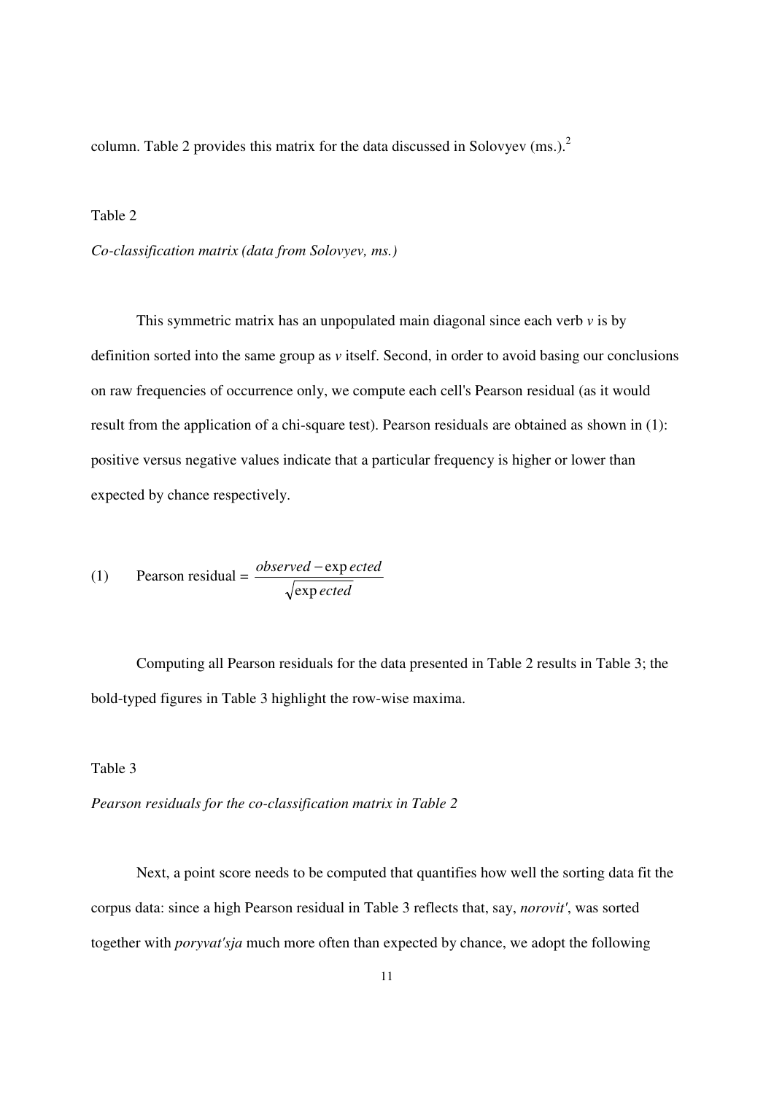column. Table 2 provides this matrix for the data discussed in Solovyev (ms.).<sup>2</sup>

#### Table 2

*Co-classification matrix (data from Solovyev, ms.)* 

This symmetric matrix has an unpopulated main diagonal since each verb  $\nu$  is by definition sorted into the same group as *v* itself. Second, in order to avoid basing our conclusions on raw frequencies of occurrence only, we compute each cell's Pearson residual (as it would result from the application of a chi-square test). Pearson residuals are obtained as shown in (1): positive versus negative values indicate that a particular frequency is higher or lower than expected by chance respectively.

(1) Pearson residual = 
$$
\frac{observed - exp\,ected}{\sqrt{exp\,ected}}
$$

 Computing all Pearson residuals for the data presented in Table 2 results in Table 3; the bold-typed figures in Table 3 highlight the row-wise maxima.

### Table 3

*Pearson residuals for the co-classification matrix in Table 2* 

 Next, a point score needs to be computed that quantifies how well the sorting data fit the corpus data: since a high Pearson residual in Table 3 reflects that, say, *norovit'*, was sorted together with *poryvat'sja* much more often than expected by chance, we adopt the following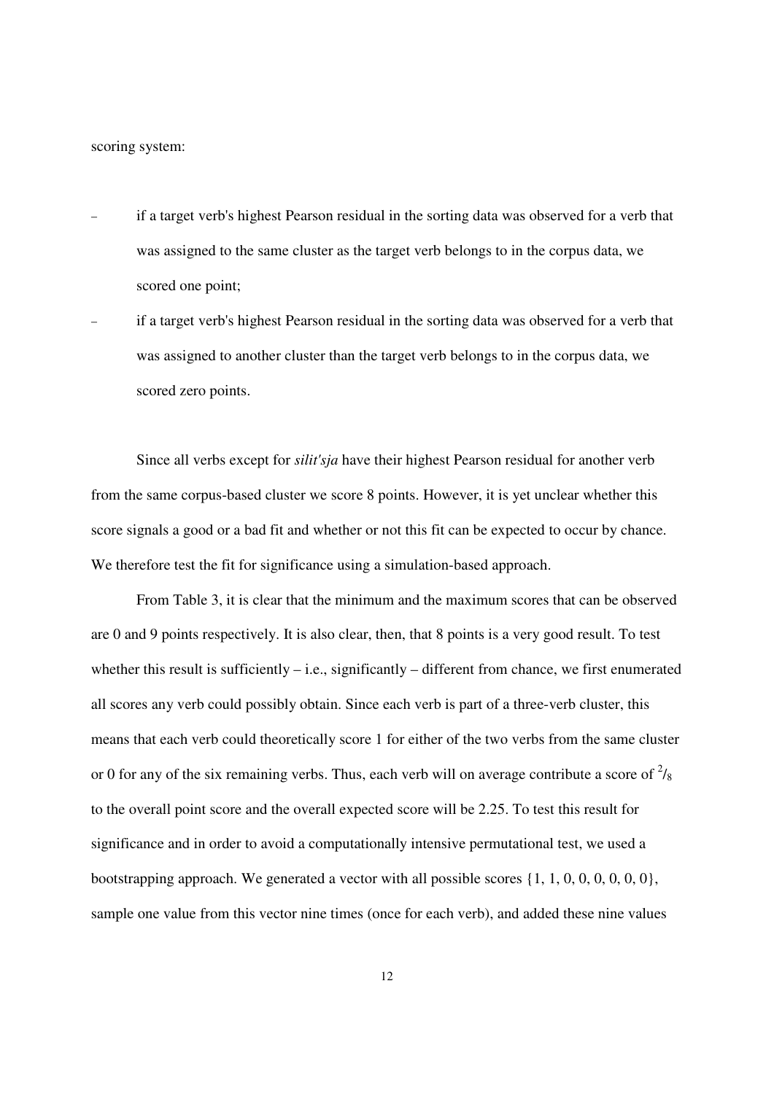scoring system:

- if a target verb's highest Pearson residual in the sorting data was observed for a verb that was assigned to the same cluster as the target verb belongs to in the corpus data, we scored one point;
- if a target verb's highest Pearson residual in the sorting data was observed for a verb that was assigned to another cluster than the target verb belongs to in the corpus data, we scored zero points.

 Since all verbs except for *silit'sja* have their highest Pearson residual for another verb from the same corpus-based cluster we score 8 points. However, it is yet unclear whether this score signals a good or a bad fit and whether or not this fit can be expected to occur by chance. We therefore test the fit for significance using a simulation-based approach.

 From Table 3, it is clear that the minimum and the maximum scores that can be observed are 0 and 9 points respectively. It is also clear, then, that 8 points is a very good result. To test whether this result is sufficiently – i.e., significantly – different from chance, we first enumerated all scores any verb could possibly obtain. Since each verb is part of a three-verb cluster, this means that each verb could theoretically score 1 for either of the two verbs from the same cluster or 0 for any of the six remaining verbs. Thus, each verb will on average contribute a score of  $\frac{2}{8}$ to the overall point score and the overall expected score will be 2.25. To test this result for significance and in order to avoid a computationally intensive permutational test, we used a bootstrapping approach. We generated a vector with all possible scores  $\{1, 1, 0, 0, 0, 0, 0, 0\}$ , sample one value from this vector nine times (once for each verb), and added these nine values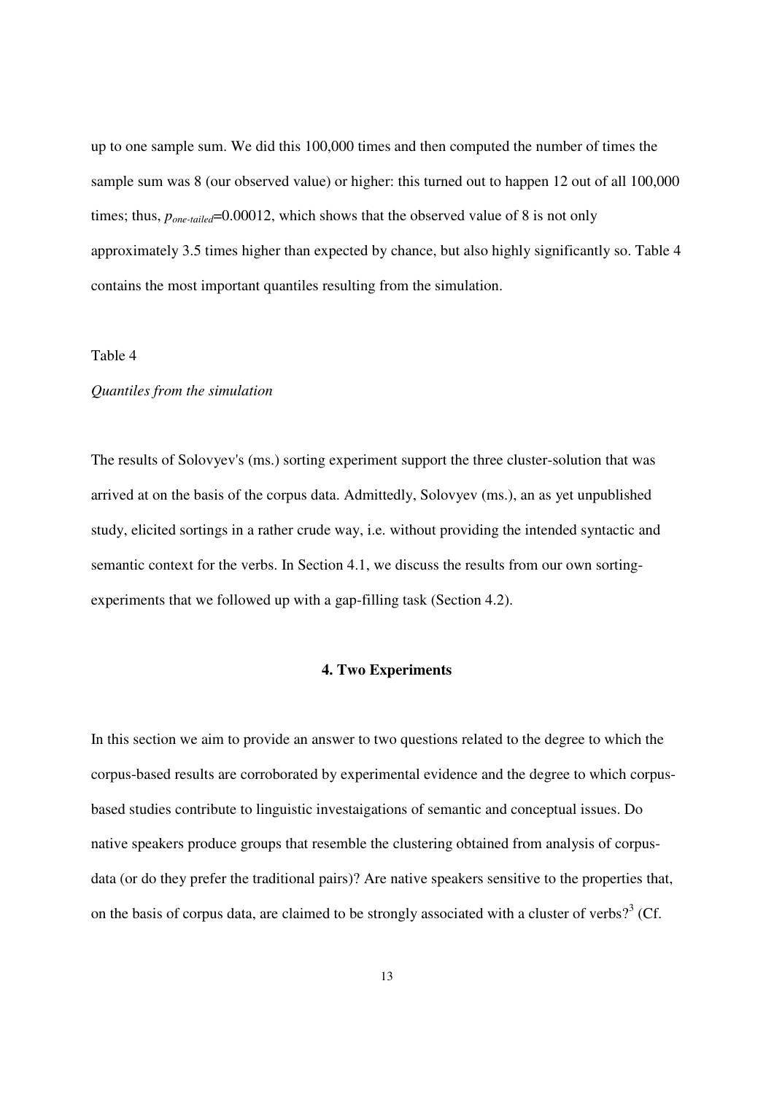up to one sample sum. We did this 100,000 times and then computed the number of times the sample sum was 8 (our observed value) or higher: this turned out to happen 12 out of all 100,000 times; thus,  $p_{one-tailed}$ =0.00012, which shows that the observed value of 8 is not only approximately 3.5 times higher than expected by chance, but also highly significantly so. Table 4 contains the most important quantiles resulting from the simulation.

#### Table 4

#### *Quantiles from the simulation*

The results of Solovyev's (ms.) sorting experiment support the three cluster-solution that was arrived at on the basis of the corpus data. Admittedly, Solovyev (ms.), an as yet unpublished study, elicited sortings in a rather crude way, i.e. without providing the intended syntactic and semantic context for the verbs. In Section 4.1, we discuss the results from our own sortingexperiments that we followed up with a gap-filling task (Section 4.2).

#### **4. Two Experiments**

In this section we aim to provide an answer to two questions related to the degree to which the corpus-based results are corroborated by experimental evidence and the degree to which corpusbased studies contribute to linguistic investaigations of semantic and conceptual issues. Do native speakers produce groups that resemble the clustering obtained from analysis of corpusdata (or do they prefer the traditional pairs)? Are native speakers sensitive to the properties that, on the basis of corpus data, are claimed to be strongly associated with a cluster of verbs?<sup>3</sup> (Cf.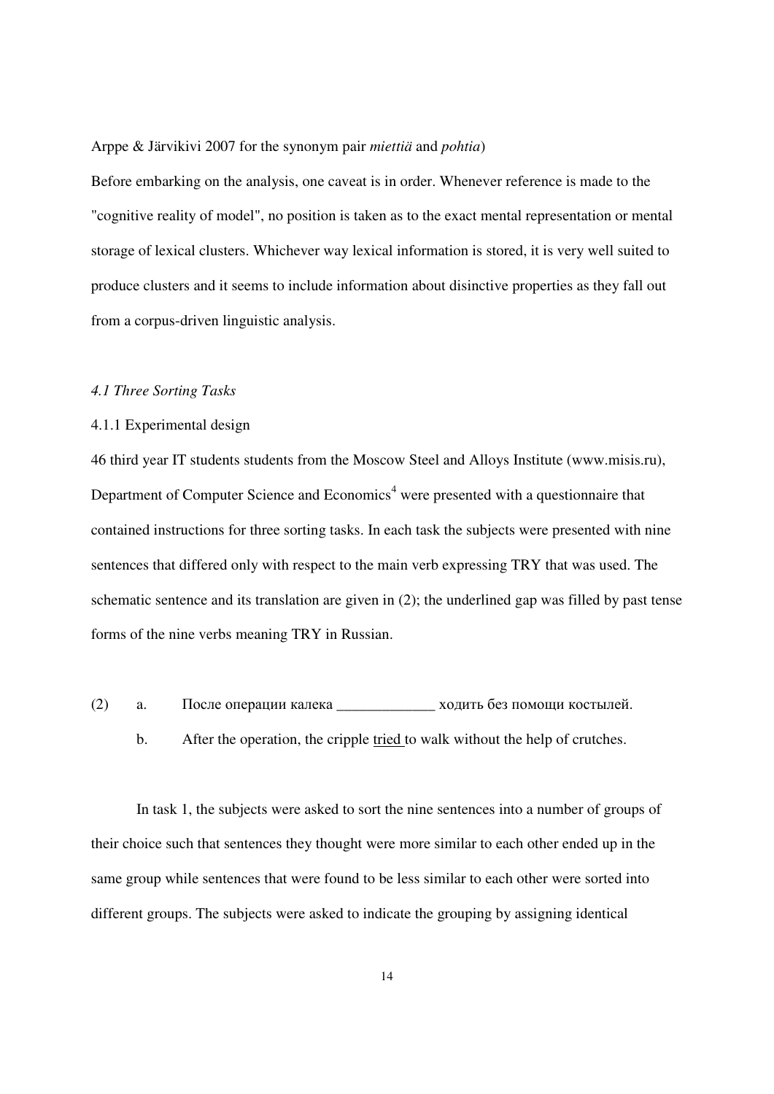#### Arppe & Järvikivi 2007 for the synonym pair *miettiä* and *pohtia*)

Before embarking on the analysis, one caveat is in order. Whenever reference is made to the "cognitive reality of model", no position is taken as to the exact mental representation or mental storage of lexical clusters. Whichever way lexical information is stored, it is very well suited to produce clusters and it seems to include information about disinctive properties as they fall out from a corpus-driven linguistic analysis.

#### *4.1 Three Sorting Tasks*

### 4.1.1 Experimental design

46 third year IT students students from the Moscow Steel and Alloys Institute (www.misis.ru), Department of Computer Science and Economics<sup>4</sup> were presented with a questionnaire that contained instructions for three sorting tasks. In each task the subjects were presented with nine sentences that differed only with respect to the main verb expressing TRY that was used. The schematic sentence and its translation are given in (2); the underlined gap was filled by past tense forms of the nine verbs meaning TRY in Russian.

- (2) a. После операции калека \_\_\_\_\_\_\_\_\_\_\_\_\_ ходить без помощи костылей.
	- b. After the operation, the cripple tried to walk without the help of crutches.

 In task 1, the subjects were asked to sort the nine sentences into a number of groups of their choice such that sentences they thought were more similar to each other ended up in the same group while sentences that were found to be less similar to each other were sorted into different groups. The subjects were asked to indicate the grouping by assigning identical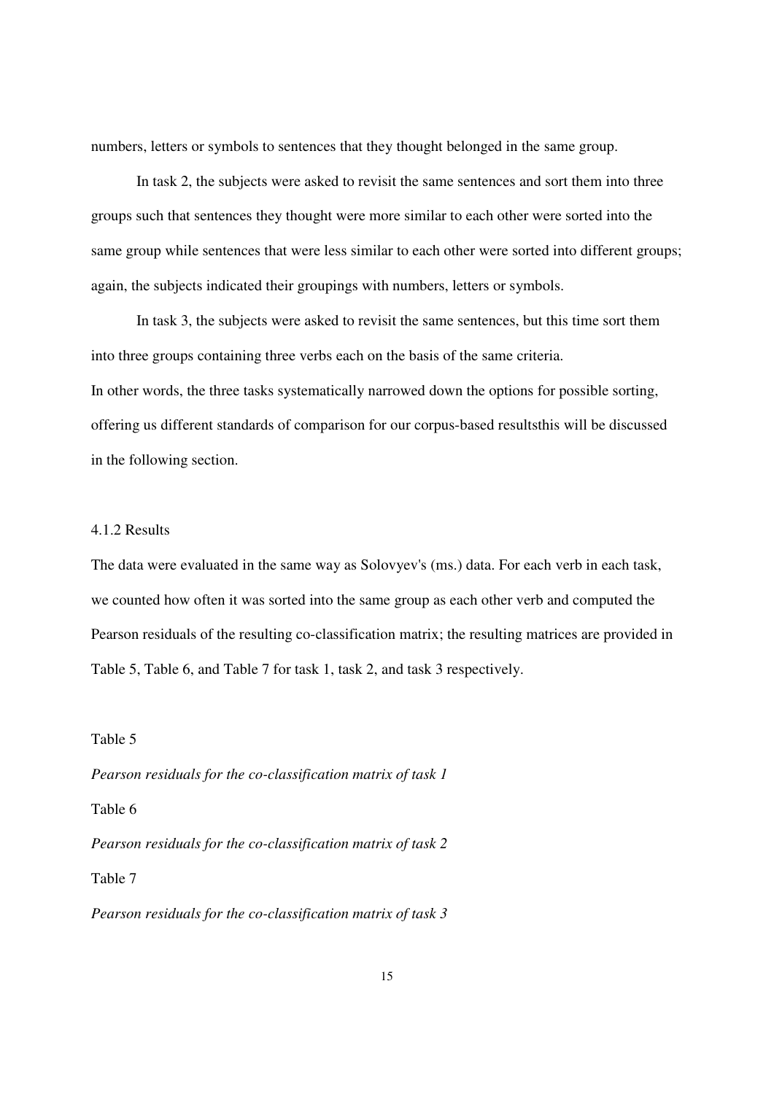numbers, letters or symbols to sentences that they thought belonged in the same group.

 In task 2, the subjects were asked to revisit the same sentences and sort them into three groups such that sentences they thought were more similar to each other were sorted into the same group while sentences that were less similar to each other were sorted into different groups; again, the subjects indicated their groupings with numbers, letters or symbols.

 In task 3, the subjects were asked to revisit the same sentences, but this time sort them into three groups containing three verbs each on the basis of the same criteria. In other words, the three tasks systematically narrowed down the options for possible sorting, offering us different standards of comparison for our corpus-based resultsthis will be discussed in the following section.

#### 4.1.2 Results

The data were evaluated in the same way as Solovyev's (ms.) data. For each verb in each task, we counted how often it was sorted into the same group as each other verb and computed the Pearson residuals of the resulting co-classification matrix; the resulting matrices are provided in Table 5, Table 6, and Table 7 for task 1, task 2, and task 3 respectively.

Table 5

*Pearson residuals for the co-classification matrix of task 1* 

Table 6

*Pearson residuals for the co-classification matrix of task 2* 

Table 7

*Pearson residuals for the co-classification matrix of task 3*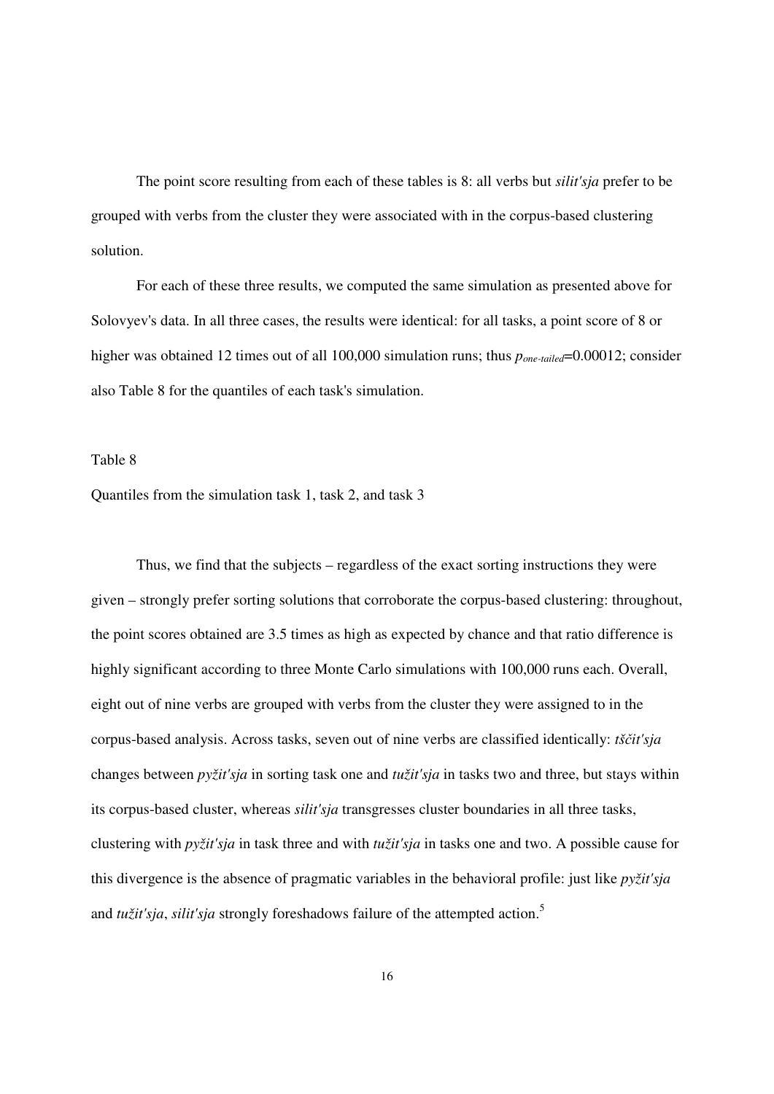The point score resulting from each of these tables is 8: all verbs but *silit'sja* prefer to be grouped with verbs from the cluster they were associated with in the corpus-based clustering solution.

 For each of these three results, we computed the same simulation as presented above for Solovyev's data. In all three cases, the results were identical: for all tasks, a point score of 8 or higher was obtained 12 times out of all 100,000 simulation runs; thus  $p_{one-tailed}=0.00012$ ; consider also Table 8 for the quantiles of each task's simulation.

#### Table 8

Quantiles from the simulation task 1, task 2, and task 3

 Thus, we find that the subjects – regardless of the exact sorting instructions they were given – strongly prefer sorting solutions that corroborate the corpus-based clustering: throughout, the point scores obtained are 3.5 times as high as expected by chance and that ratio difference is highly significant according to three Monte Carlo simulations with 100,000 runs each. Overall, eight out of nine verbs are grouped with verbs from the cluster they were assigned to in the corpus-based analysis. Across tasks, seven out of nine verbs are classified identically: *tš*č*it'sja*  changes between *pyžit'sja* in sorting task one and *tužit'sja* in tasks two and three, but stays within its corpus-based cluster, whereas *silit'sja* transgresses cluster boundaries in all three tasks, clustering with *pyžit'sja* in task three and with *tužit'sja* in tasks one and two. A possible cause for this divergence is the absence of pragmatic variables in the behavioral profile: just like *pyžit'sja* and *tužit'sja*, *silit'sja* strongly foreshadows failure of the attempted action.<sup>5</sup>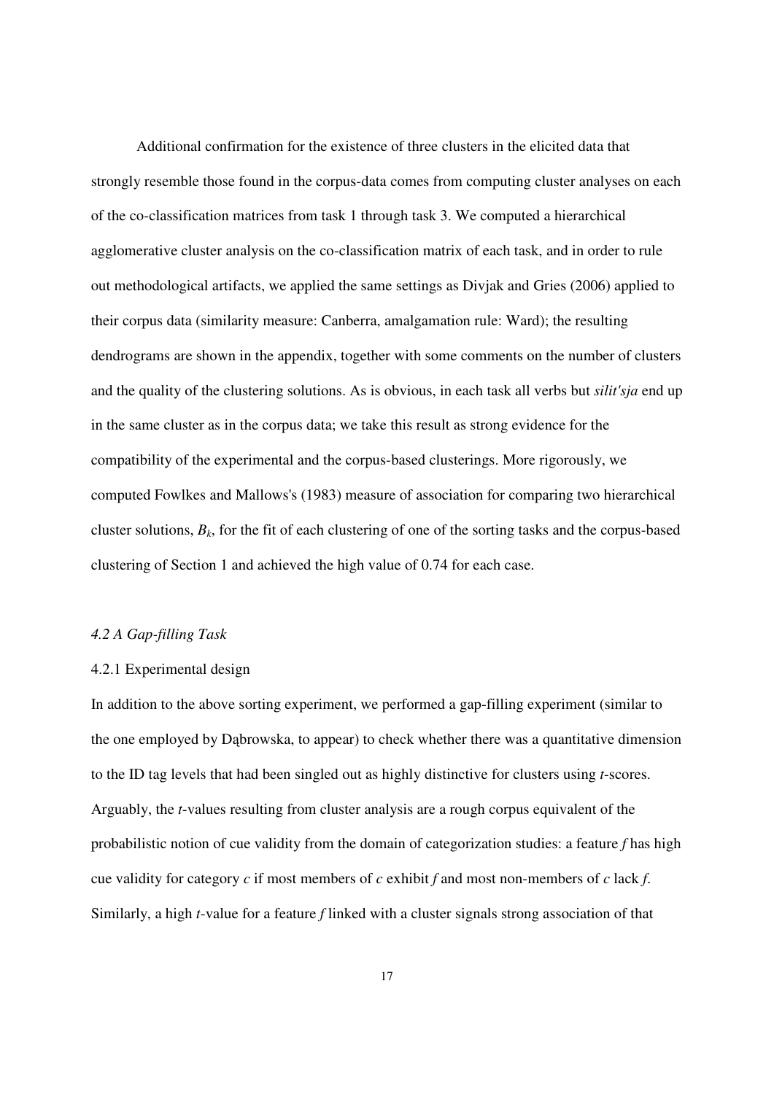Additional confirmation for the existence of three clusters in the elicited data that strongly resemble those found in the corpus-data comes from computing cluster analyses on each of the co-classification matrices from task 1 through task 3. We computed a hierarchical agglomerative cluster analysis on the co-classification matrix of each task, and in order to rule out methodological artifacts, we applied the same settings as Divjak and Gries (2006) applied to their corpus data (similarity measure: Canberra, amalgamation rule: Ward); the resulting dendrograms are shown in the appendix, together with some comments on the number of clusters and the quality of the clustering solutions. As is obvious, in each task all verbs but *silit'sja* end up in the same cluster as in the corpus data; we take this result as strong evidence for the compatibility of the experimental and the corpus-based clusterings. More rigorously, we computed Fowlkes and Mallows's (1983) measure of association for comparing two hierarchical cluster solutions,  $B_k$ , for the fit of each clustering of one of the sorting tasks and the corpus-based clustering of Section 1 and achieved the high value of 0.74 for each case.

#### *4.2 A Gap-filling Task*

#### 4.2.1 Experimental design

In addition to the above sorting experiment, we performed a gap-filling experiment (similar to the one employed by Dąbrowska, to appear) to check whether there was a quantitative dimension to the ID tag levels that had been singled out as highly distinctive for clusters using *t*-scores. Arguably, the *t*-values resulting from cluster analysis are a rough corpus equivalent of the probabilistic notion of cue validity from the domain of categorization studies: a feature *f* has high cue validity for category *c* if most members of *c* exhibit *f* and most non-members of *c* lack *f*. Similarly, a high *t*-value for a feature *f* linked with a cluster signals strong association of that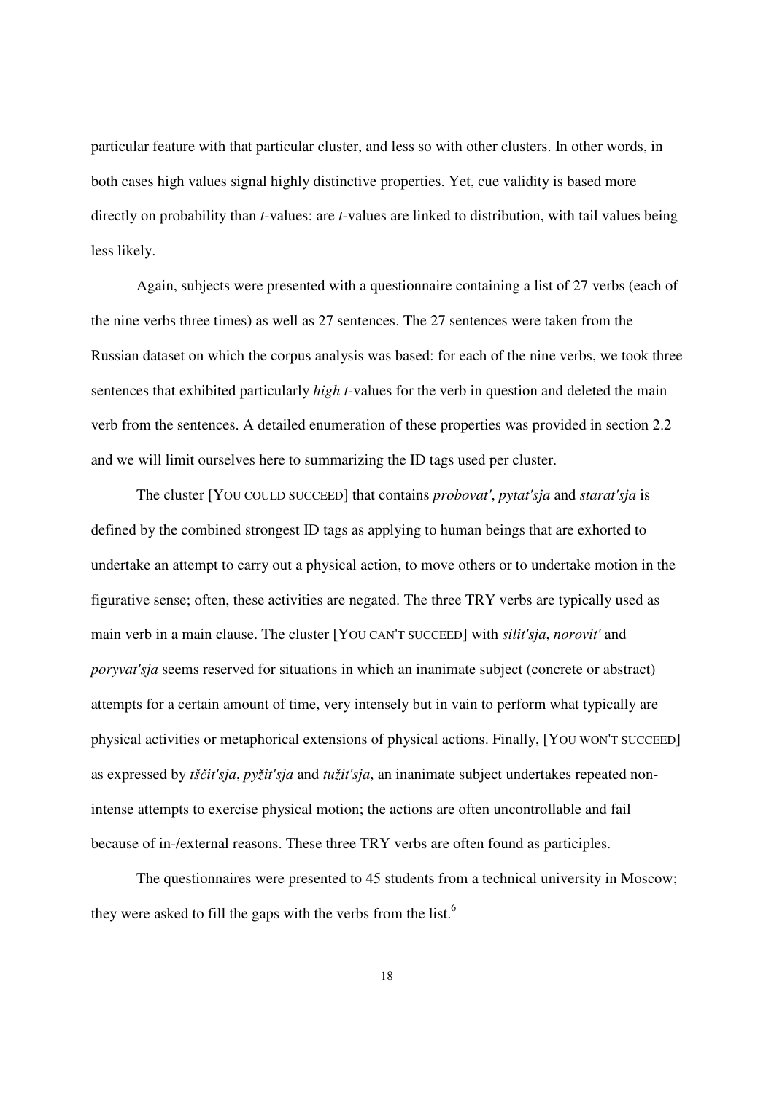particular feature with that particular cluster, and less so with other clusters. In other words, in both cases high values signal highly distinctive properties. Yet, cue validity is based more directly on probability than *t*-values: are *t*-values are linked to distribution, with tail values being less likely.

 Again, subjects were presented with a questionnaire containing a list of 27 verbs (each of the nine verbs three times) as well as 27 sentences. The 27 sentences were taken from the Russian dataset on which the corpus analysis was based: for each of the nine verbs, we took three sentences that exhibited particularly *high t*-values for the verb in question and deleted the main verb from the sentences. A detailed enumeration of these properties was provided in section 2.2 and we will limit ourselves here to summarizing the ID tags used per cluster.

 The cluster [YOU COULD SUCCEED] that contains *probovat'*, *pytat'sja* and *starat'sja* is defined by the combined strongest ID tags as applying to human beings that are exhorted to undertake an attempt to carry out a physical action, to move others or to undertake motion in the figurative sense; often, these activities are negated. The three TRY verbs are typically used as main verb in a main clause. The cluster [YOU CAN'T SUCCEED] with *silit'sja*, *norovit'* and *poryvat'sja* seems reserved for situations in which an inanimate subject (concrete or abstract) attempts for a certain amount of time, very intensely but in vain to perform what typically are physical activities or metaphorical extensions of physical actions. Finally, [YOU WON'T SUCCEED] as expressed by *tš*č*it'sja*, *pyžit'sja* and *tužit'sja*, an inanimate subject undertakes repeated nonintense attempts to exercise physical motion; the actions are often uncontrollable and fail because of in-/external reasons. These three TRY verbs are often found as participles.

 The questionnaires were presented to 45 students from a technical university in Moscow; they were asked to fill the gaps with the verbs from the list.<sup>6</sup>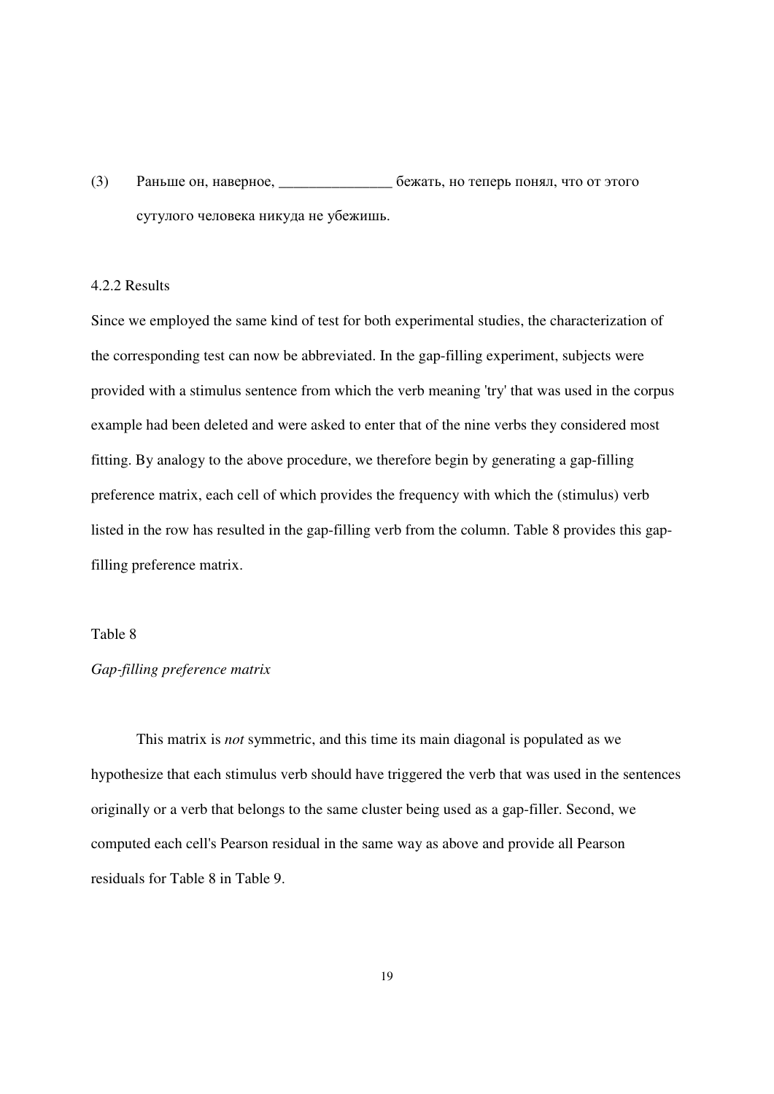(3) Раньше он, наверное, \_\_\_\_\_\_\_\_\_\_\_\_\_\_\_ бежать, но теперь понял, что от этого сутулого человека никуда не убежишь.

#### 4.2.2 Results

Since we employed the same kind of test for both experimental studies, the characterization of the corresponding test can now be abbreviated. In the gap-filling experiment, subjects were provided with a stimulus sentence from which the verb meaning 'try' that was used in the corpus example had been deleted and were asked to enter that of the nine verbs they considered most fitting. By analogy to the above procedure, we therefore begin by generating a gap-filling preference matrix, each cell of which provides the frequency with which the (stimulus) verb listed in the row has resulted in the gap-filling verb from the column. Table 8 provides this gapfilling preference matrix.

#### Table 8

### *Gap-filling preference matrix*

 This matrix is *not* symmetric, and this time its main diagonal is populated as we hypothesize that each stimulus verb should have triggered the verb that was used in the sentences originally or a verb that belongs to the same cluster being used as a gap-filler. Second, we computed each cell's Pearson residual in the same way as above and provide all Pearson residuals for Table 8 in Table 9.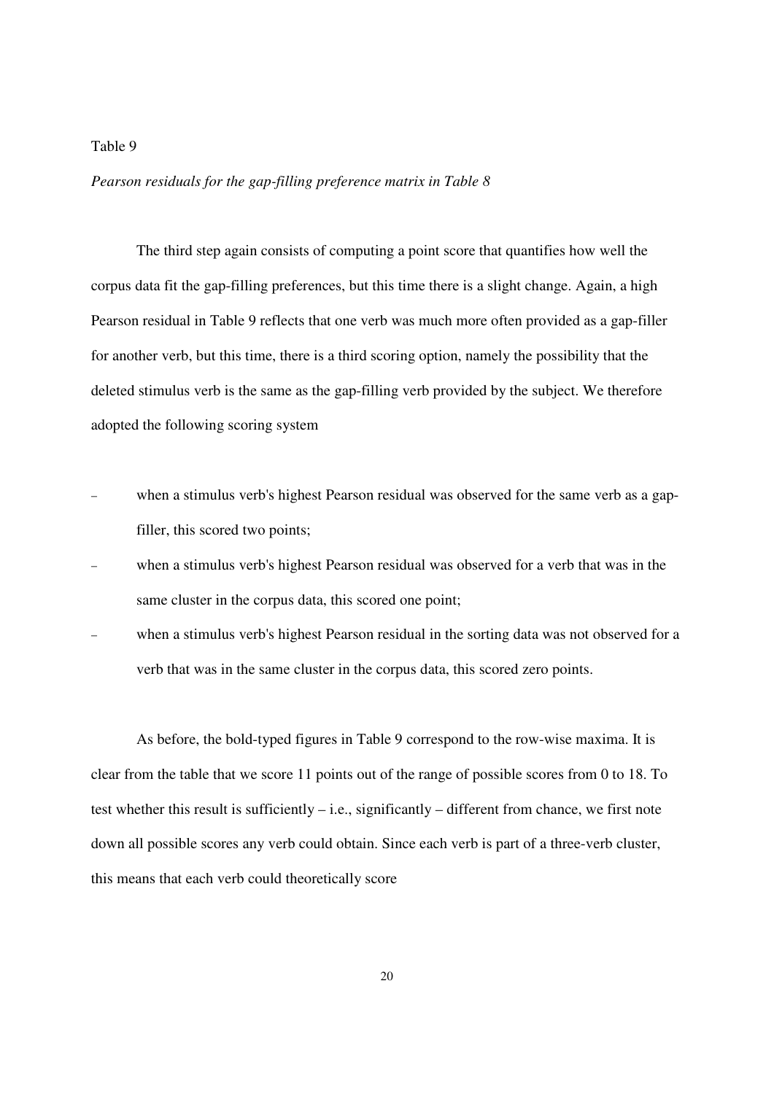*Pearson residuals for the gap-filling preference matrix in Table 8* 

 The third step again consists of computing a point score that quantifies how well the corpus data fit the gap-filling preferences, but this time there is a slight change. Again, a high Pearson residual in Table 9 reflects that one verb was much more often provided as a gap-filler for another verb, but this time, there is a third scoring option, namely the possibility that the deleted stimulus verb is the same as the gap-filling verb provided by the subject. We therefore adopted the following scoring system

- when a stimulus verb's highest Pearson residual was observed for the same verb as a gapfiller, this scored two points;
- when a stimulus verb's highest Pearson residual was observed for a verb that was in the same cluster in the corpus data, this scored one point;
- when a stimulus verb's highest Pearson residual in the sorting data was not observed for a verb that was in the same cluster in the corpus data, this scored zero points.

 As before, the bold-typed figures in Table 9 correspond to the row-wise maxima. It is clear from the table that we score 11 points out of the range of possible scores from 0 to 18. To test whether this result is sufficiently – i.e., significantly – different from chance, we first note down all possible scores any verb could obtain. Since each verb is part of a three-verb cluster, this means that each verb could theoretically score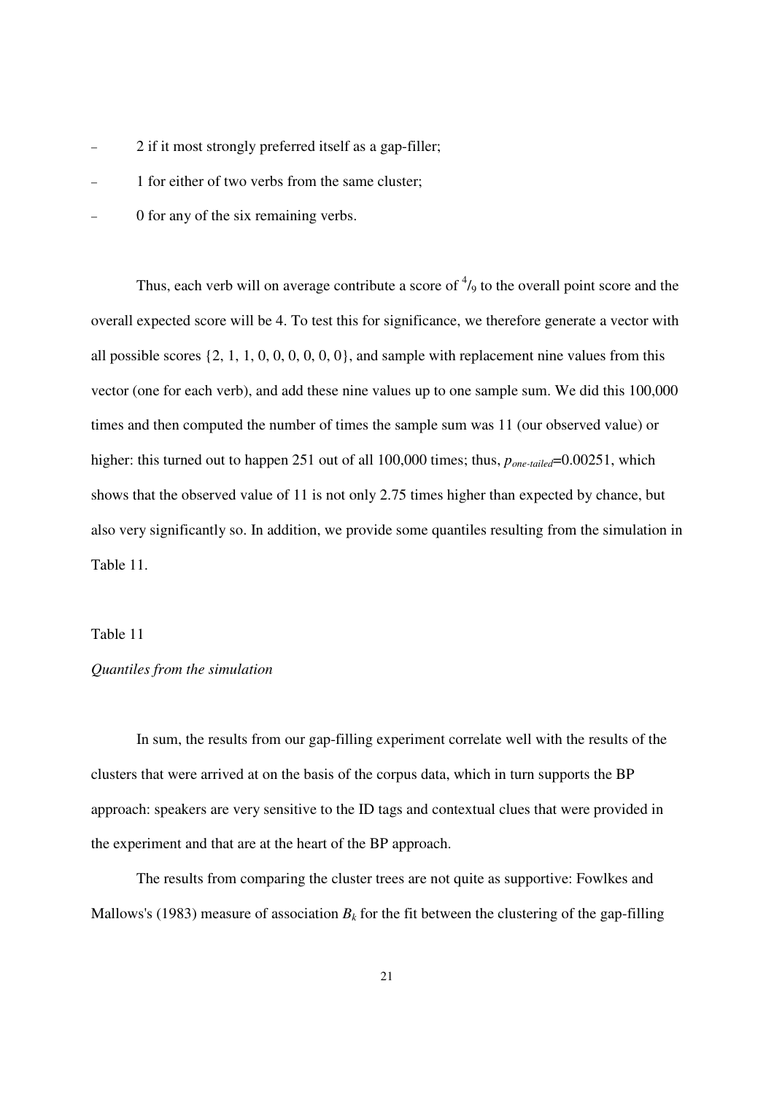- 2 if it most strongly preferred itself as a gap-filler;
- − 1 for either of two verbs from the same cluster;
- 0 for any of the six remaining verbs.

Thus, each verb will on average contribute a score of  $\frac{4}{9}$  to the overall point score and the overall expected score will be 4. To test this for significance, we therefore generate a vector with all possible scores  $\{2, 1, 1, 0, 0, 0, 0, 0, 0\}$ , and sample with replacement nine values from this vector (one for each verb), and add these nine values up to one sample sum. We did this 100,000 times and then computed the number of times the sample sum was 11 (our observed value) or higher: this turned out to happen 251 out of all 100,000 times; thus,  $p_{one-tailed}=0.00251$ , which shows that the observed value of 11 is not only 2.75 times higher than expected by chance, but also very significantly so. In addition, we provide some quantiles resulting from the simulation in Table 11.

#### Table 11

#### *Quantiles from the simulation*

 In sum, the results from our gap-filling experiment correlate well with the results of the clusters that were arrived at on the basis of the corpus data, which in turn supports the BP approach: speakers are very sensitive to the ID tags and contextual clues that were provided in the experiment and that are at the heart of the BP approach.

 The results from comparing the cluster trees are not quite as supportive: Fowlkes and Mallows's (1983) measure of association  $B_k$  for the fit between the clustering of the gap-filling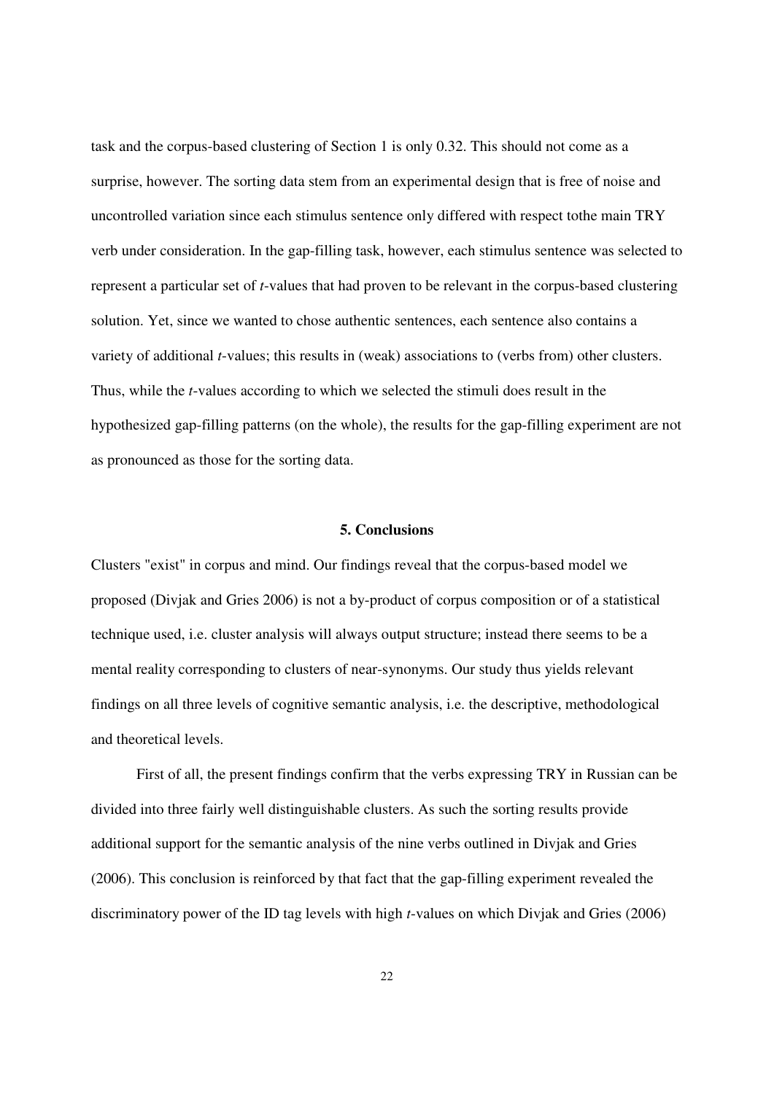task and the corpus-based clustering of Section 1 is only 0.32. This should not come as a surprise, however. The sorting data stem from an experimental design that is free of noise and uncontrolled variation since each stimulus sentence only differed with respect tothe main TRY verb under consideration. In the gap-filling task, however, each stimulus sentence was selected to represent a particular set of *t*-values that had proven to be relevant in the corpus-based clustering solution. Yet, since we wanted to chose authentic sentences, each sentence also contains a variety of additional *t*-values; this results in (weak) associations to (verbs from) other clusters. Thus, while the *t*-values according to which we selected the stimuli does result in the hypothesized gap-filling patterns (on the whole), the results for the gap-filling experiment are not as pronounced as those for the sorting data.

#### **5. Conclusions**

Clusters "exist" in corpus and mind. Our findings reveal that the corpus-based model we proposed (Divjak and Gries 2006) is not a by-product of corpus composition or of a statistical technique used, i.e. cluster analysis will always output structure; instead there seems to be a mental reality corresponding to clusters of near-synonyms. Our study thus yields relevant findings on all three levels of cognitive semantic analysis, i.e. the descriptive, methodological and theoretical levels.

 First of all, the present findings confirm that the verbs expressing TRY in Russian can be divided into three fairly well distinguishable clusters. As such the sorting results provide additional support for the semantic analysis of the nine verbs outlined in Divjak and Gries (2006). This conclusion is reinforced by that fact that the gap-filling experiment revealed the discriminatory power of the ID tag levels with high *t*-values on which Divjak and Gries (2006)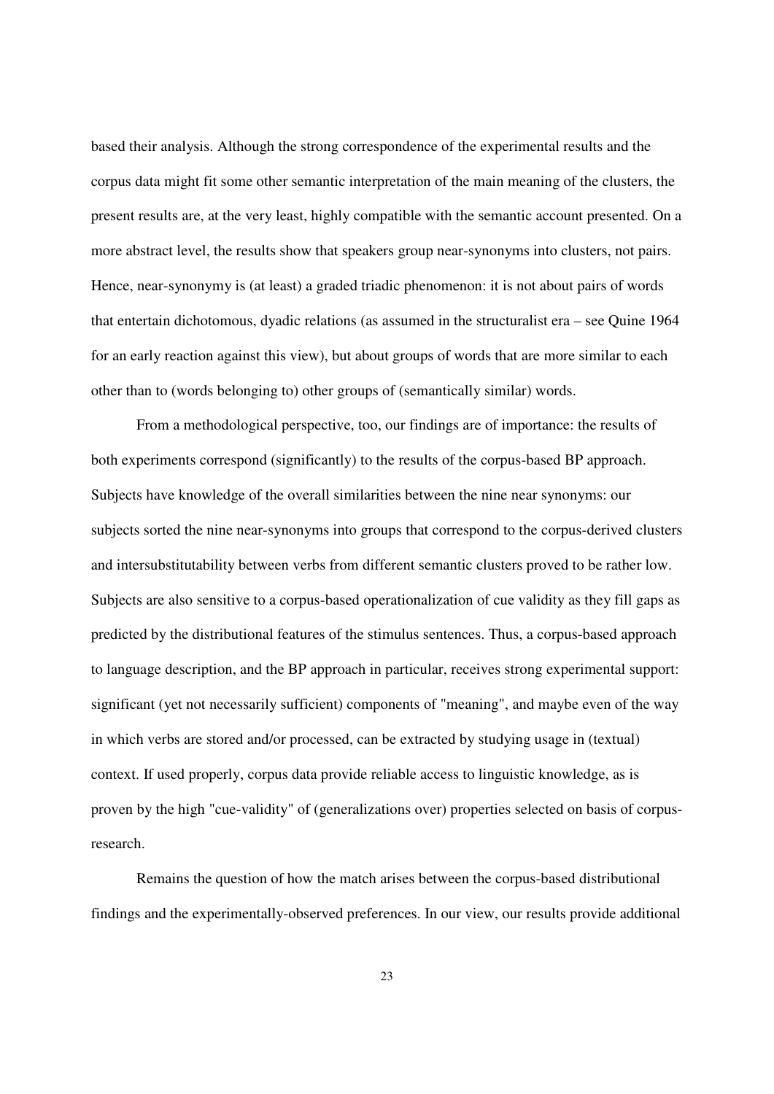based their analysis. Although the strong correspondence of the experimental results and the corpus data might fit some other semantic interpretation of the main meaning of the clusters, the present results are, at the very least, highly compatible with the semantic account presented. On a more abstract level, the results show that speakers group near-synonyms into clusters, not pairs. Hence, near-synonymy is (at least) a graded triadic phenomenon: it is not about pairs of words that entertain dichotomous, dyadic relations (as assumed in the structuralist era – see Quine 1964 for an early reaction against this view), but about groups of words that are more similar to each other than to (words belonging to) other groups of (semantically similar) words.

 From a methodological perspective, too, our findings are of importance: the results of both experiments correspond (significantly) to the results of the corpus-based BP approach. Subjects have knowledge of the overall similarities between the nine near synonyms: our subjects sorted the nine near-synonyms into groups that correspond to the corpus-derived clusters and intersubstitutability between verbs from different semantic clusters proved to be rather low. Subjects are also sensitive to a corpus-based operationalization of cue validity as they fill gaps as predicted by the distributional features of the stimulus sentences. Thus, a corpus-based approach to language description, and the BP approach in particular, receives strong experimental support: significant (yet not necessarily sufficient) components of "meaning", and maybe even of the way in which verbs are stored and/or processed, can be extracted by studying usage in (textual) context. If used properly, corpus data provide reliable access to linguistic knowledge, as is proven by the high "cue-validity" of (generalizations over) properties selected on basis of corpusresearch.

 Remains the question of how the match arises between the corpus-based distributional findings and the experimentally-observed preferences. In our view, our results provide additional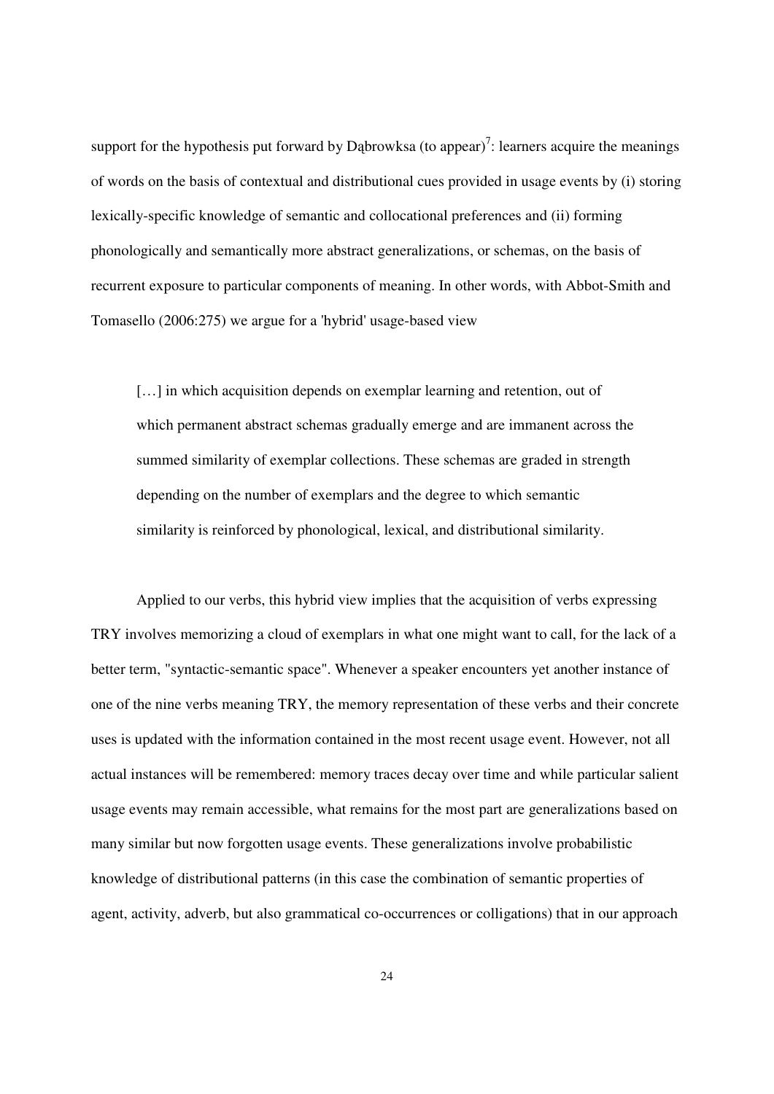support for the hypothesis put forward by Dąbrowksa (to appear)<sup>7</sup>: learners acquire the meanings of words on the basis of contextual and distributional cues provided in usage events by (i) storing lexically-specific knowledge of semantic and collocational preferences and (ii) forming phonologically and semantically more abstract generalizations, or schemas, on the basis of recurrent exposure to particular components of meaning. In other words, with Abbot-Smith and Tomasello (2006:275) we argue for a 'hybrid' usage-based view

[...] in which acquisition depends on exemplar learning and retention, out of which permanent abstract schemas gradually emerge and are immanent across the summed similarity of exemplar collections. These schemas are graded in strength depending on the number of exemplars and the degree to which semantic similarity is reinforced by phonological, lexical, and distributional similarity.

 Applied to our verbs, this hybrid view implies that the acquisition of verbs expressing TRY involves memorizing a cloud of exemplars in what one might want to call, for the lack of a better term, "syntactic-semantic space". Whenever a speaker encounters yet another instance of one of the nine verbs meaning TRY, the memory representation of these verbs and their concrete uses is updated with the information contained in the most recent usage event. However, not all actual instances will be remembered: memory traces decay over time and while particular salient usage events may remain accessible, what remains for the most part are generalizations based on many similar but now forgotten usage events. These generalizations involve probabilistic knowledge of distributional patterns (in this case the combination of semantic properties of agent, activity, adverb, but also grammatical co-occurrences or colligations) that in our approach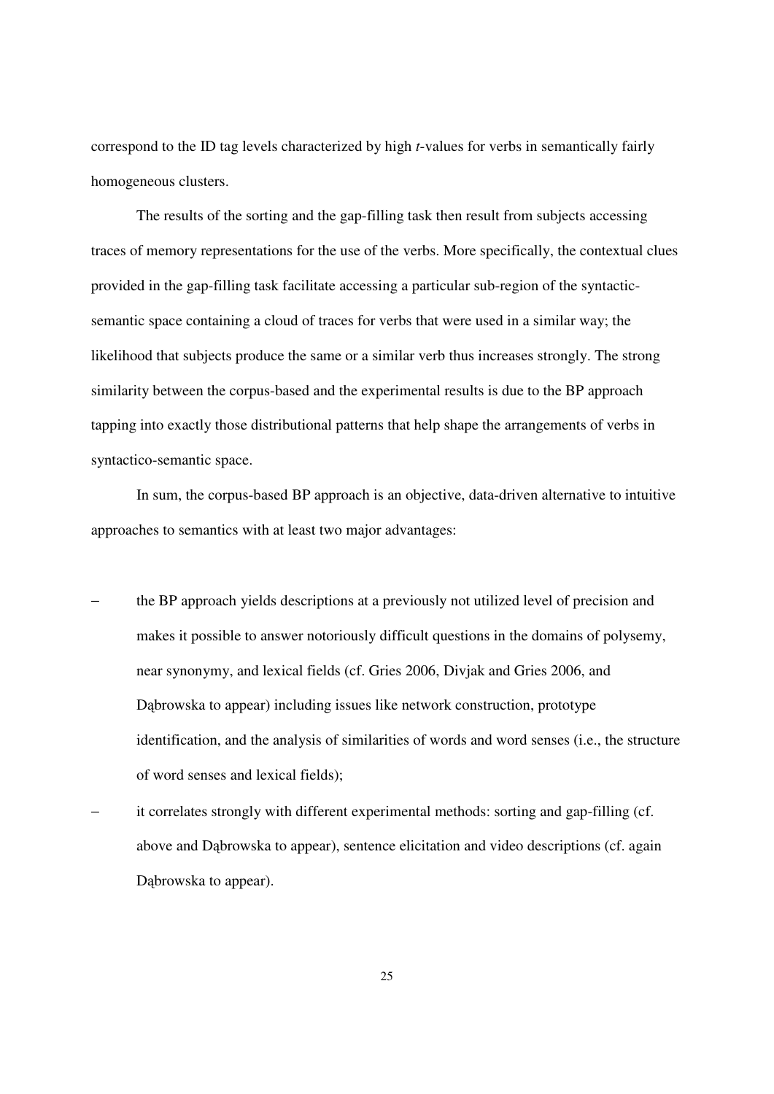correspond to the ID tag levels characterized by high *t*-values for verbs in semantically fairly homogeneous clusters.

 The results of the sorting and the gap-filling task then result from subjects accessing traces of memory representations for the use of the verbs. More specifically, the contextual clues provided in the gap-filling task facilitate accessing a particular sub-region of the syntacticsemantic space containing a cloud of traces for verbs that were used in a similar way; the likelihood that subjects produce the same or a similar verb thus increases strongly. The strong similarity between the corpus-based and the experimental results is due to the BP approach tapping into exactly those distributional patterns that help shape the arrangements of verbs in syntactico-semantic space.

 In sum, the corpus-based BP approach is an objective, data-driven alternative to intuitive approaches to semantics with at least two major advantages:

- the BP approach yields descriptions at a previously not utilized level of precision and makes it possible to answer notoriously difficult questions in the domains of polysemy, near synonymy, and lexical fields (cf. Gries 2006, Divjak and Gries 2006, and Dąbrowska to appear) including issues like network construction, prototype identification, and the analysis of similarities of words and word senses (i.e., the structure of word senses and lexical fields);
- it correlates strongly with different experimental methods: sorting and gap-filling (cf. above and Dąbrowska to appear), sentence elicitation and video descriptions (cf. again Dąbrowska to appear).

25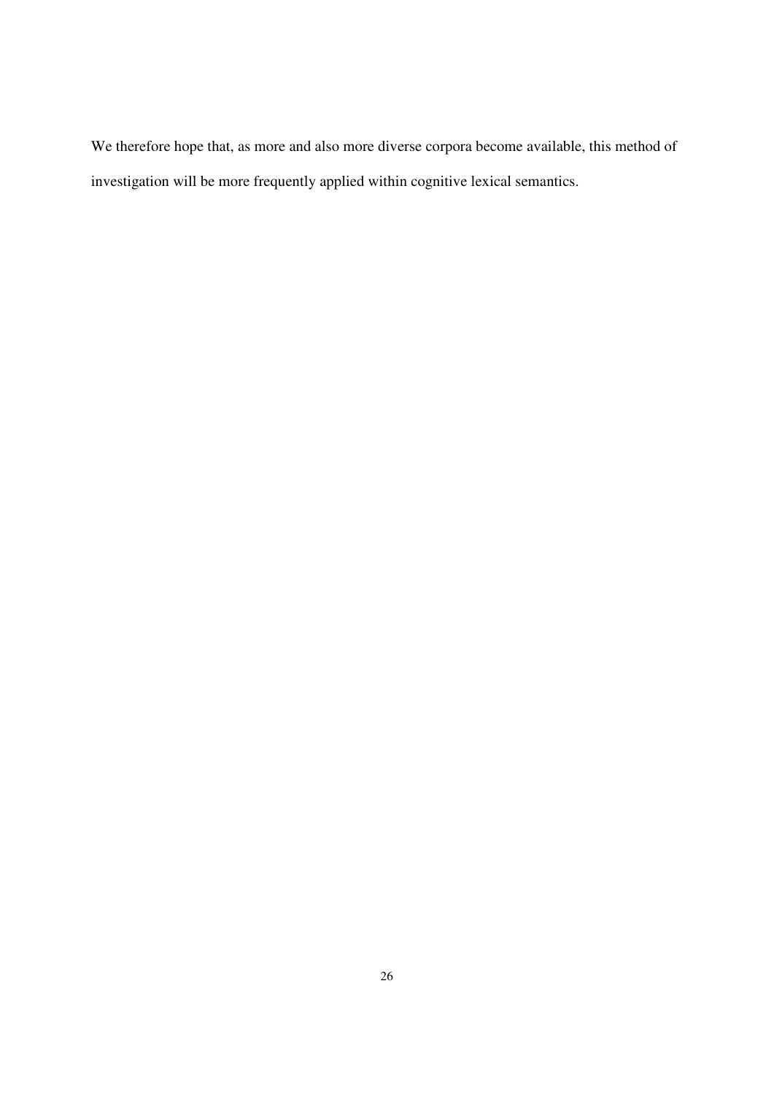We therefore hope that, as more and also more diverse corpora become available, this method of investigation will be more frequently applied within cognitive lexical semantics.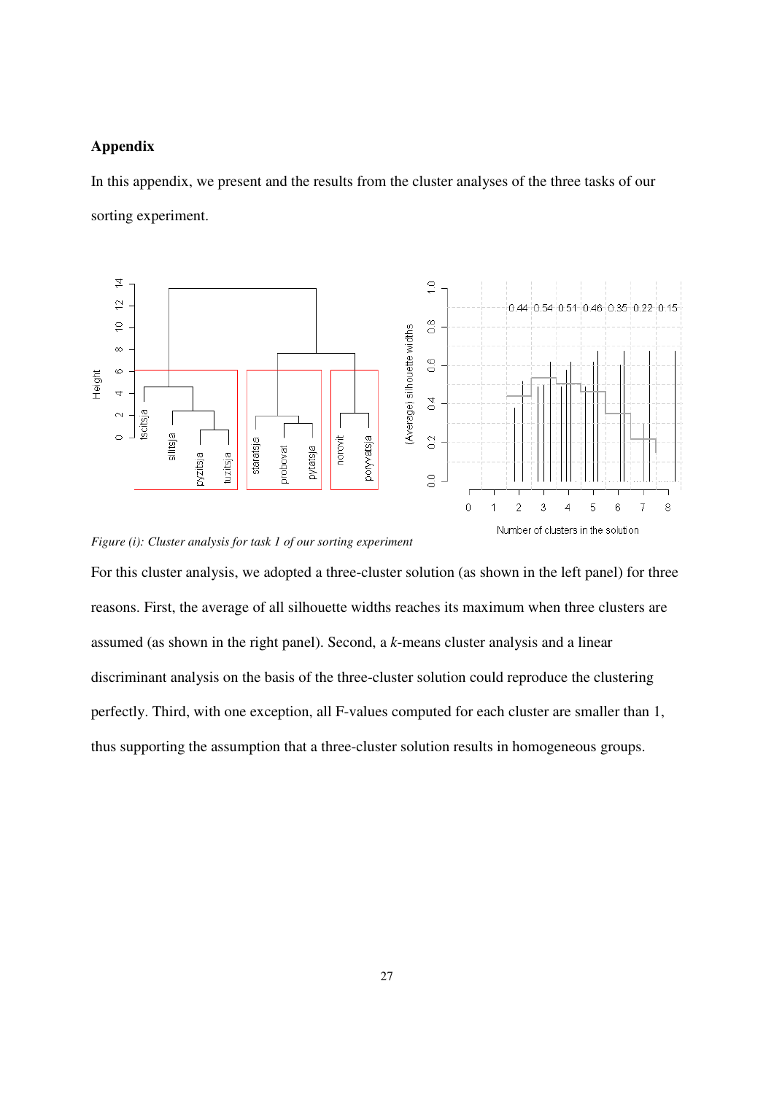### **Appendix**

In this appendix, we present and the results from the cluster analyses of the three tasks of our sorting experiment.





For this cluster analysis, we adopted a three-cluster solution (as shown in the left panel) for three reasons. First, the average of all silhouette widths reaches its maximum when three clusters are assumed (as shown in the right panel). Second, a *k*-means cluster analysis and a linear discriminant analysis on the basis of the three-cluster solution could reproduce the clustering perfectly. Third, with one exception, all F-values computed for each cluster are smaller than 1, thus supporting the assumption that a three-cluster solution results in homogeneous groups.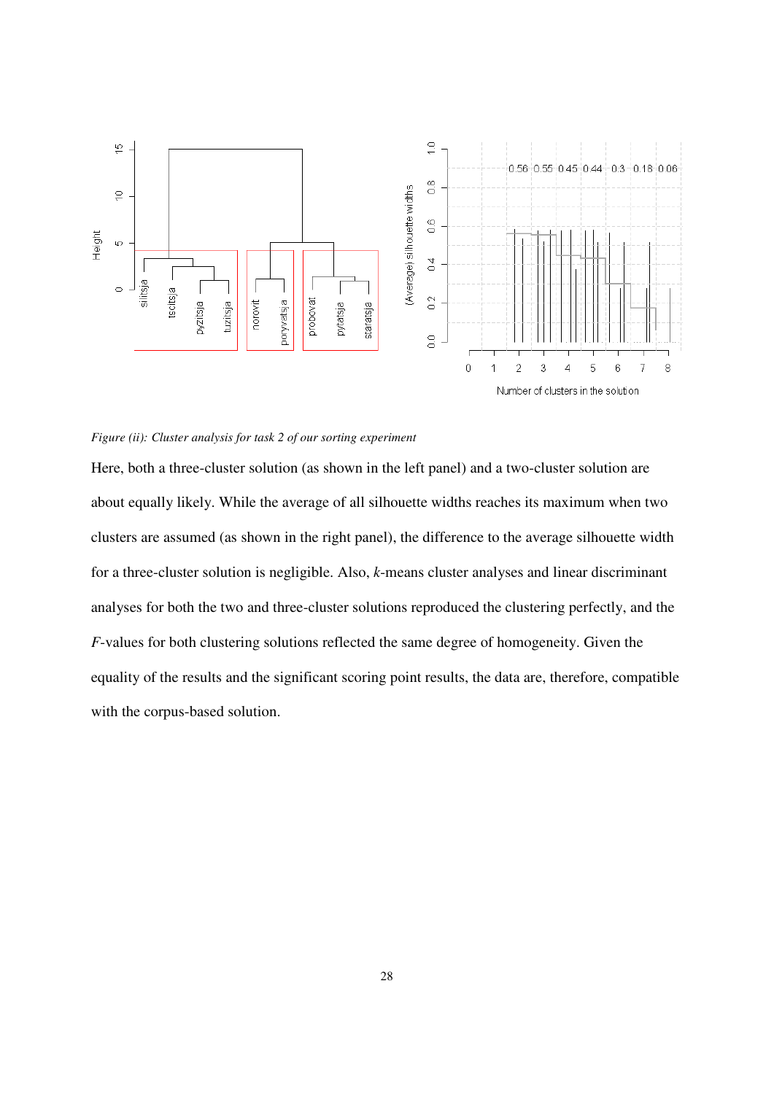

#### *Figure (ii): Cluster analysis for task 2 of our sorting experiment*

Here, both a three-cluster solution (as shown in the left panel) and a two-cluster solution are about equally likely. While the average of all silhouette widths reaches its maximum when two clusters are assumed (as shown in the right panel), the difference to the average silhouette width for a three-cluster solution is negligible. Also, *k*-means cluster analyses and linear discriminant analyses for both the two and three-cluster solutions reproduced the clustering perfectly, and the *F*-values for both clustering solutions reflected the same degree of homogeneity. Given the equality of the results and the significant scoring point results, the data are, therefore, compatible with the corpus-based solution.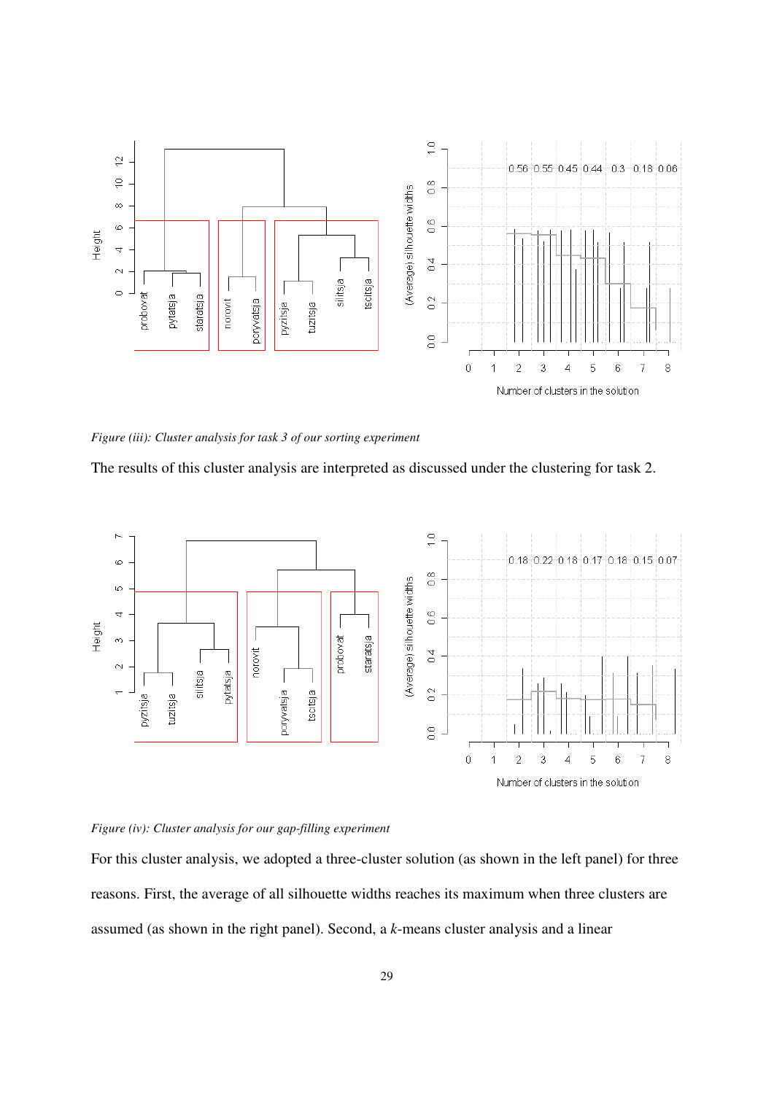

*Figure (iii): Cluster analysis for task 3 of our sorting experiment* 

The results of this cluster analysis are interpreted as discussed under the clustering for task 2.



#### *Figure (iv): Cluster analysis for our gap-filling experiment*

For this cluster analysis, we adopted a three-cluster solution (as shown in the left panel) for three reasons. First, the average of all silhouette widths reaches its maximum when three clusters are assumed (as shown in the right panel). Second, a *k*-means cluster analysis and a linear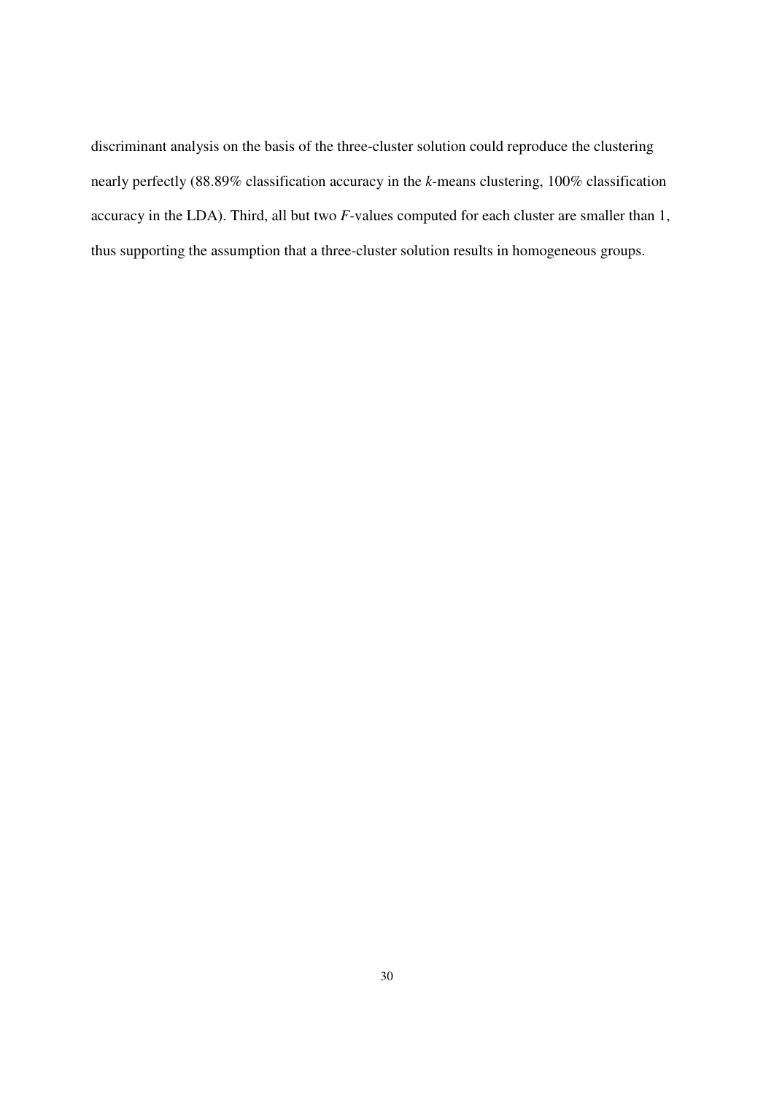discriminant analysis on the basis of the three-cluster solution could reproduce the clustering nearly perfectly (88.89% classification accuracy in the *k*-means clustering, 100% classification accuracy in the LDA). Third, all but two *F*-values computed for each cluster are smaller than 1, thus supporting the assumption that a three-cluster solution results in homogeneous groups.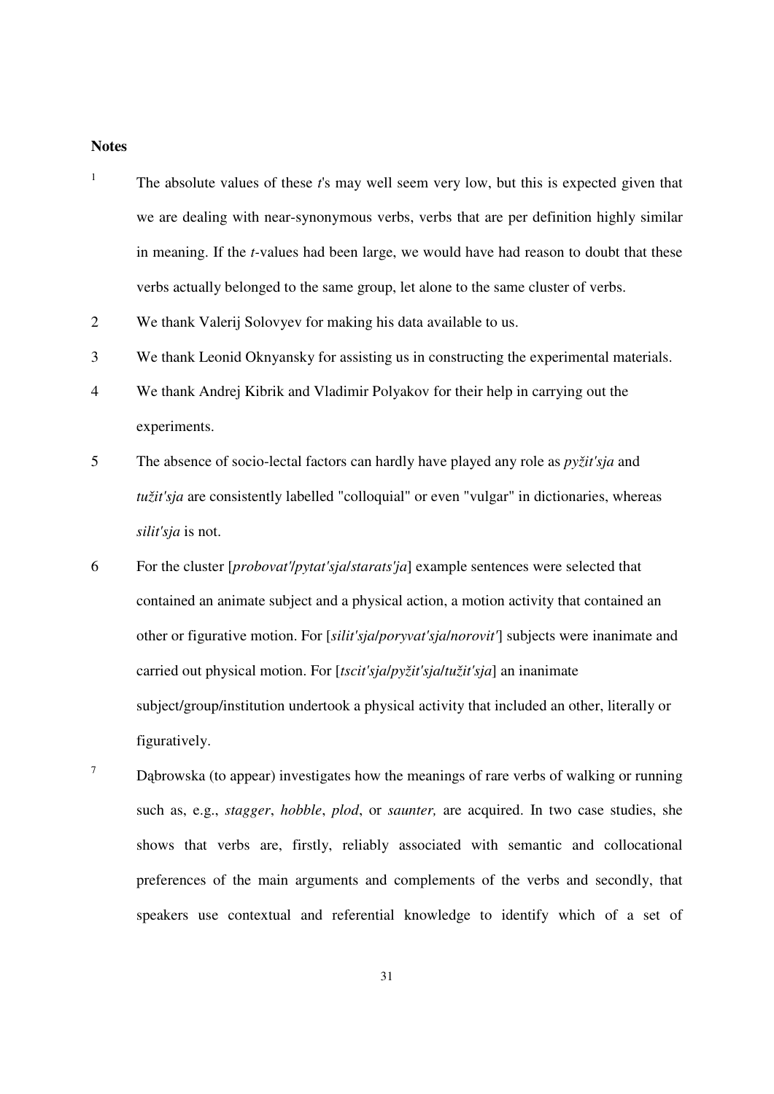#### **Notes**

| $\,1\,$        | The absolute values of these t's may well seem very low, but this is expected given that         |
|----------------|--------------------------------------------------------------------------------------------------|
|                | we are dealing with near-synonymous verbs, verbs that are per definition highly similar          |
|                | in meaning. If the <i>t</i> -values had been large, we would have had reason to doubt that these |
|                | verbs actually belonged to the same group, let alone to the same cluster of verbs.               |
| $\overline{2}$ | We thank Valerij Solovyev for making his data available to us.                                   |
| 3              | We thank Leonid Oknyansky for assisting us in constructing the experimental materials.           |
| $\overline{4}$ | We thank Andrej Kibrik and Vladimir Polyakov for their help in carrying out the                  |
|                | experiments.                                                                                     |
| 5              | The absence of socio-lectal factors can hardly have played any role as pyžit'sja and             |
|                | tužit'sja are consistently labelled "colloquial" or even "vulgar" in dictionaries, whereas       |
|                | silit'sja is not.                                                                                |
| 6              | For the cluster [probovat'/pytat'sja/starats'ja] example sentences were selected that            |
|                | contained an animate subject and a physical action, a motion activity that contained an          |
|                | other or figurative motion. For [silit'sjalporyvat'sjalnorovit'] subjects were inanimate and     |
|                | carried out physical motion. For [tscit'sjalpyžit'sjaltužit'sja] an inanimate                    |
|                | subject/group/institution undertook a physical activity that included an other, literally or     |
|                | figuratively.                                                                                    |
|                |                                                                                                  |

7 Dąbrowska (to appear) investigates how the meanings of rare verbs of walking or running such as, e.g., *stagger*, *hobble*, *plod*, or *saunter,* are acquired. In two case studies, she shows that verbs are, firstly, reliably associated with semantic and collocational preferences of the main arguments and complements of the verbs and secondly, that speakers use contextual and referential knowledge to identify which of a set of

31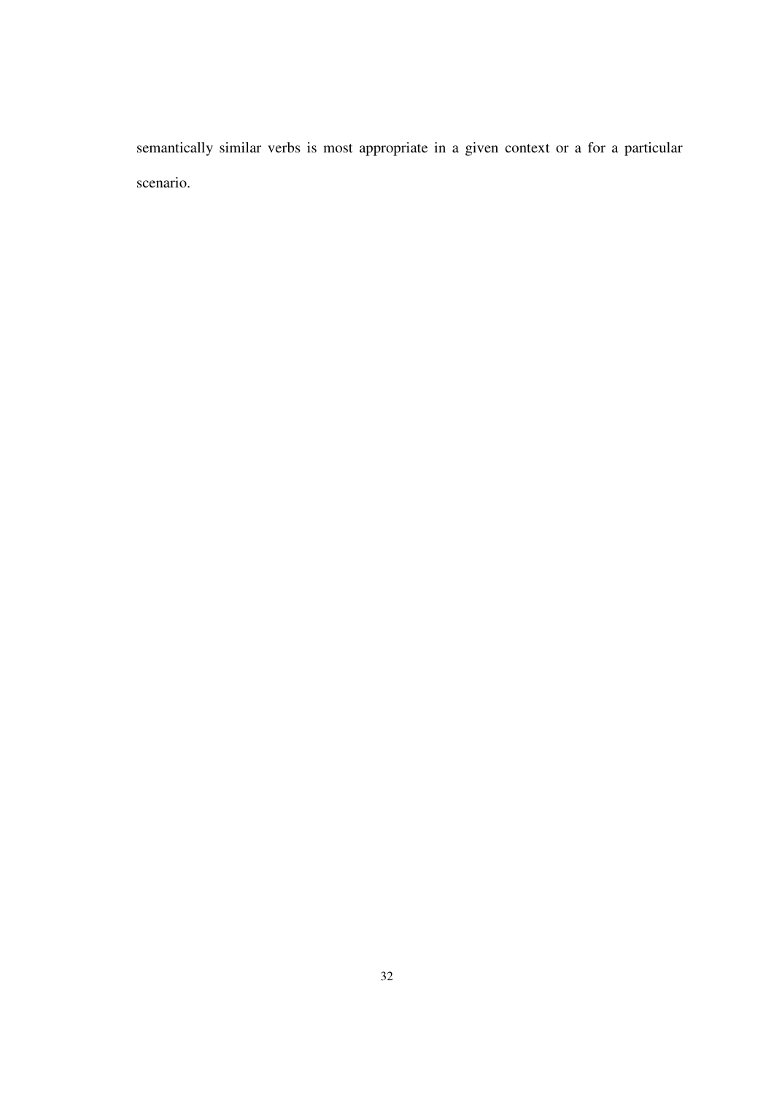semantically similar verbs is most appropriate in a given context or a for a particular scenario.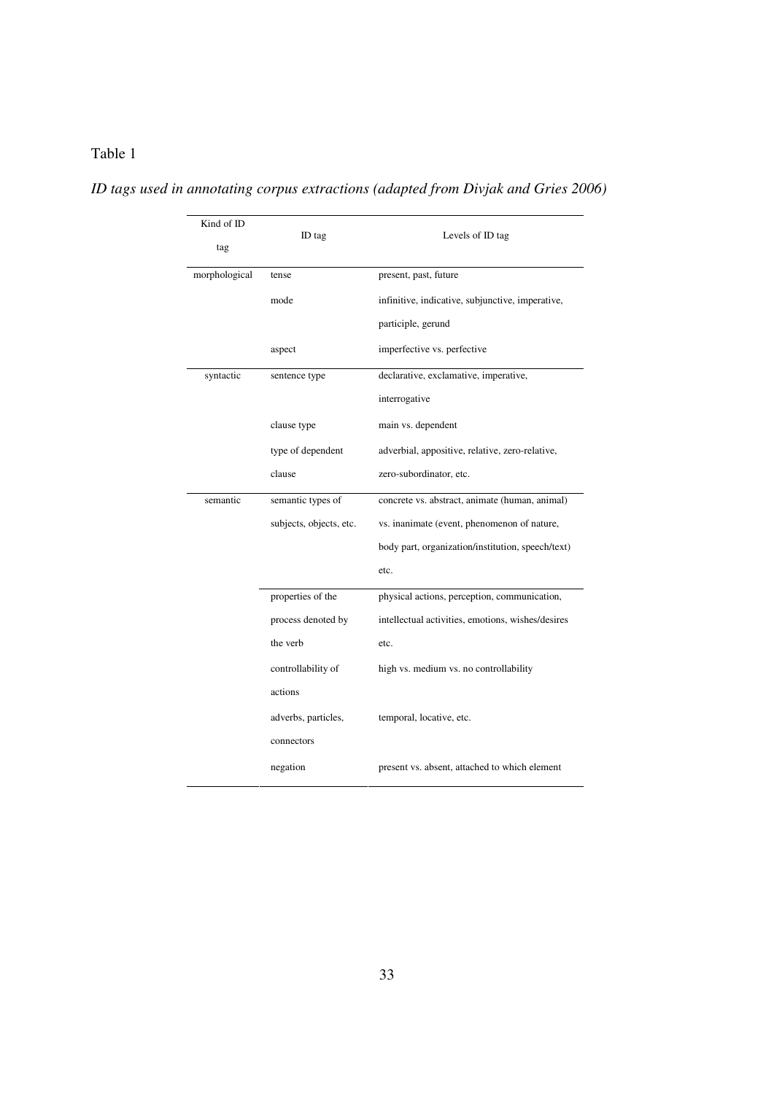| ID tags used in annotating corpus extractions (adapted from Divjak and Gries 2006) |  |  |
|------------------------------------------------------------------------------------|--|--|
|                                                                                    |  |  |

| Kind of ID<br>tag | ID tag                  | Levels of ID tag                                  |  |  |  |  |  |
|-------------------|-------------------------|---------------------------------------------------|--|--|--|--|--|
| morphological     | tense                   | present, past, future                             |  |  |  |  |  |
|                   | mode                    | infinitive, indicative, subjunctive, imperative,  |  |  |  |  |  |
|                   |                         | participle, gerund                                |  |  |  |  |  |
|                   | aspect                  | imperfective vs. perfective                       |  |  |  |  |  |
| syntactic         | sentence type           | declarative, exclamative, imperative,             |  |  |  |  |  |
|                   |                         | interrogative                                     |  |  |  |  |  |
|                   | clause type             | main vs. dependent                                |  |  |  |  |  |
|                   | type of dependent       | adverbial, appositive, relative, zero-relative,   |  |  |  |  |  |
|                   | clause                  | zero-subordinator, etc.                           |  |  |  |  |  |
| semantic          | semantic types of       | concrete vs. abstract, animate (human, animal)    |  |  |  |  |  |
|                   | subjects, objects, etc. | vs. inanimate (event, phenomenon of nature,       |  |  |  |  |  |
|                   |                         | body part, organization/institution, speech/text) |  |  |  |  |  |
|                   |                         | etc.                                              |  |  |  |  |  |
|                   | properties of the       | physical actions, perception, communication,      |  |  |  |  |  |
|                   | process denoted by      | intellectual activities, emotions, wishes/desires |  |  |  |  |  |
|                   | the verb                | etc.                                              |  |  |  |  |  |
|                   | controllability of      | high vs. medium vs. no controllability            |  |  |  |  |  |
|                   | actions                 |                                                   |  |  |  |  |  |
|                   | adverbs, particles,     | temporal, locative, etc.                          |  |  |  |  |  |
|                   | connectors              |                                                   |  |  |  |  |  |
|                   | negation                | present vs. absent, attached to which element     |  |  |  |  |  |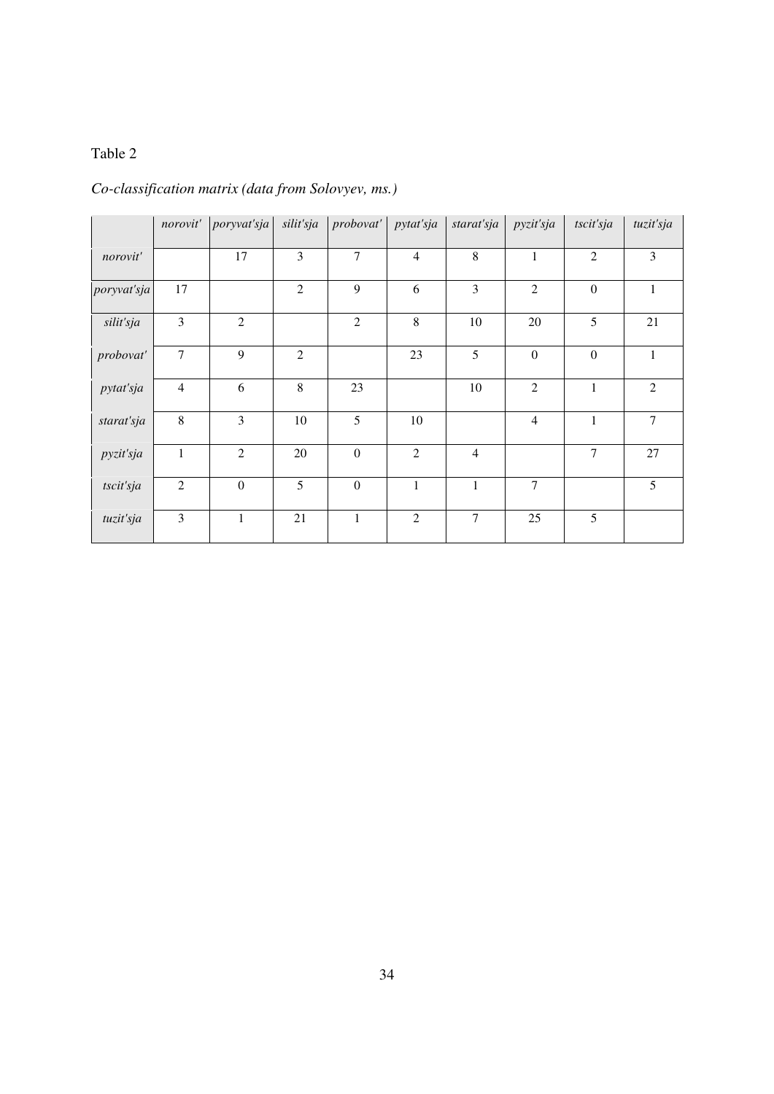## *Co-classification matrix (data from Solovyev, ms.)*

|             |                | norovit' poryvaťsja | silit'sja      | probovat'    | pytat'sja      | starat'sja     | pyzit'sja      | tscit'sja        | tuzit'sja      |
|-------------|----------------|---------------------|----------------|--------------|----------------|----------------|----------------|------------------|----------------|
| norovit'    |                | 17                  | 3              | 7            | $\overline{4}$ | 8              | $\mathbf{1}$   | $\overline{2}$   | 3              |
| poryvat'sja | 17             |                     | $\mathfrak{2}$ | 9            | 6              | 3              | $\mathfrak{2}$ | $\mathbf{0}$     | 1              |
| silit'sja   | 3              | $\overline{2}$      |                | $\mathbf{2}$ | 8              | 10             | 20             | 5                | 21             |
| probovat'   | $\overline{7}$ | 9                   | 2              |              | 23             | 5              | $\overline{0}$ | $\boldsymbol{0}$ | $\mathbf{1}$   |
| pytat'sja   | $\overline{4}$ | 6                   | 8              | 23           |                | 10             | $\mathfrak{2}$ | 1                | $\overline{2}$ |
| starat'sja  | 8              | 3                   | 10             | 5            | 10             |                | $\overline{4}$ | $\mathbf{1}$     | 7              |
| pyzit'sja   | $\mathbf{1}$   | 2                   | 20             | $\mathbf{0}$ | $\overline{2}$ | $\overline{4}$ |                | $\overline{7}$   | 27             |
| tscit'sja   | $\overline{2}$ | $\mathbf{0}$        | 5              | $\mathbf{0}$ | $\mathbf{1}$   | $\mathbf{1}$   | $\tau$         |                  | 5              |
| tuzit'sja   | 3              | 1                   | 21             | $\mathbf{1}$ | $\overline{2}$ | $\overline{7}$ | 25             | 5                |                |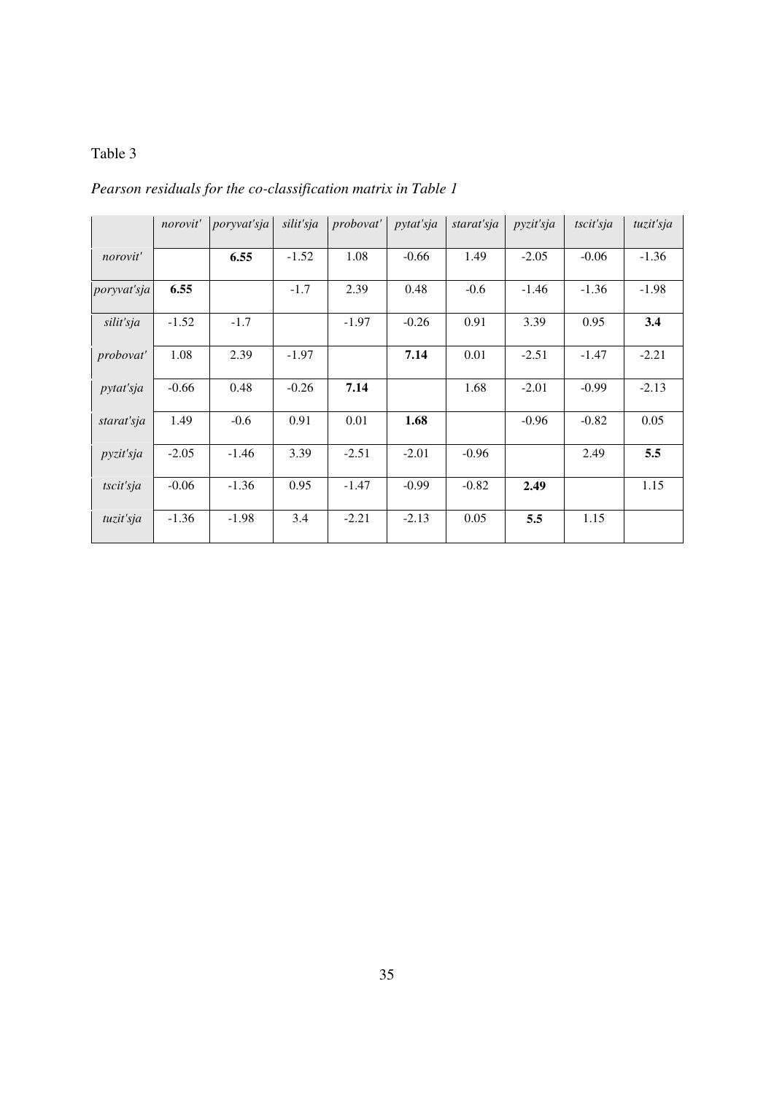*Pearson residuals for the co-classification matrix in Table 1* 

|                    | norovit' | poryvat'sja | silit'sja | probovat' | pytat'sja | starat'sja | pyzit'sja | tscit'sja | tuzit'sja |
|--------------------|----------|-------------|-----------|-----------|-----------|------------|-----------|-----------|-----------|
| norovit'           |          | 6.55        | $-1.52$   | 1.08      | $-0.66$   | 1.49       | $-2.05$   | $-0.06$   | $-1.36$   |
| <i>poryvat'sja</i> | 6.55     |             | $-1.7$    | 2.39      | 0.48      | $-0.6$     | $-1.46$   | $-1.36$   | $-1.98$   |
| silit'sja          | $-1.52$  | $-1.7$      |           | $-1.97$   | $-0.26$   | 0.91       | 3.39      | 0.95      | 3.4       |
| probovat'          | 1.08     | 2.39        | $-1.97$   |           | 7.14      | 0.01       | $-2.51$   | $-1.47$   | $-2.21$   |
| <i>pytat'sja</i>   | $-0.66$  | 0.48        | $-0.26$   | 7.14      |           | 1.68       | $-2.01$   | $-0.99$   | $-2.13$   |
| starat'sja         | 1.49     | $-0.6$      | 0.91      | 0.01      | 1.68      |            | $-0.96$   | $-0.82$   | 0.05      |
| <i>pyzit'sja</i>   | $-2.05$  | $-1.46$     | 3.39      | $-2.51$   | $-2.01$   | $-0.96$    |           | 2.49      | 5.5       |
| tscit'sja          | $-0.06$  | $-1.36$     | 0.95      | $-1.47$   | $-0.99$   | $-0.82$    | 2.49      |           | 1.15      |
| tuzit'sja          | $-1.36$  | $-1.98$     | 3.4       | $-2.21$   | $-2.13$   | 0.05       | 5.5       | 1.15      |           |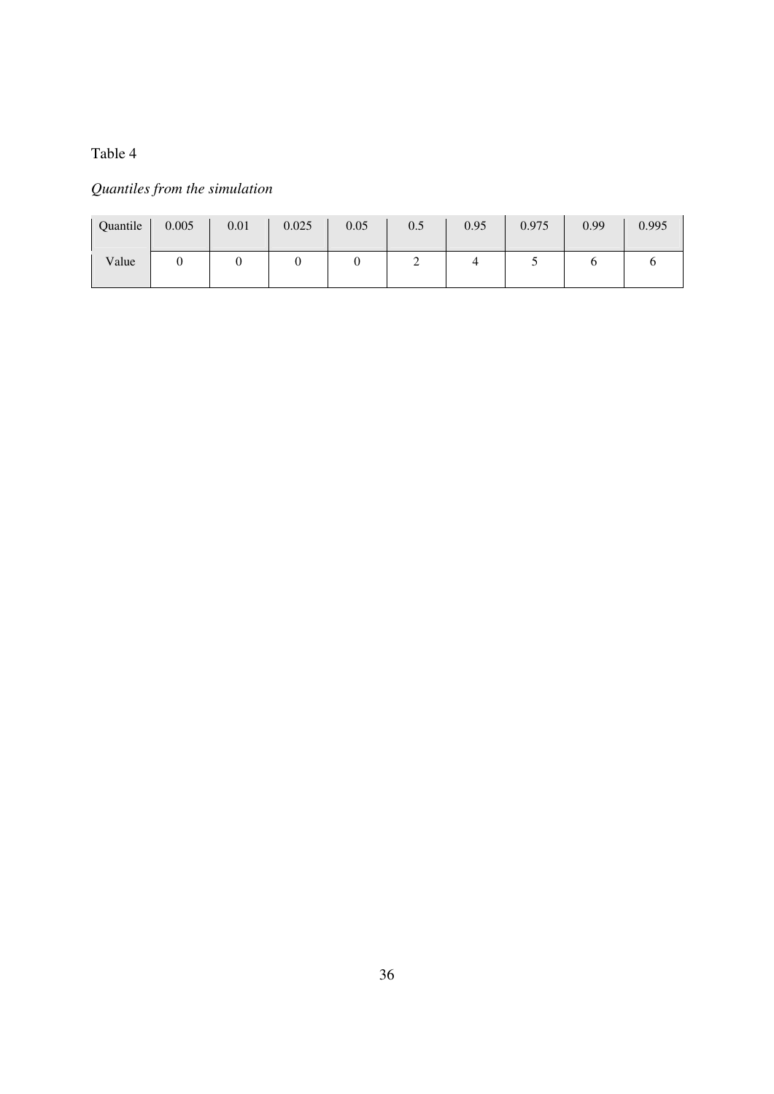## *Quantiles from the simulation*

| Quantile | 0.005 | 0.01 | 0.025 | 0.05 | 0.5 | 0.95 | 0.975 | 0.99 | 0.995 |
|----------|-------|------|-------|------|-----|------|-------|------|-------|
| Value    |       |      | υ     |      | ∽   |      |       |      |       |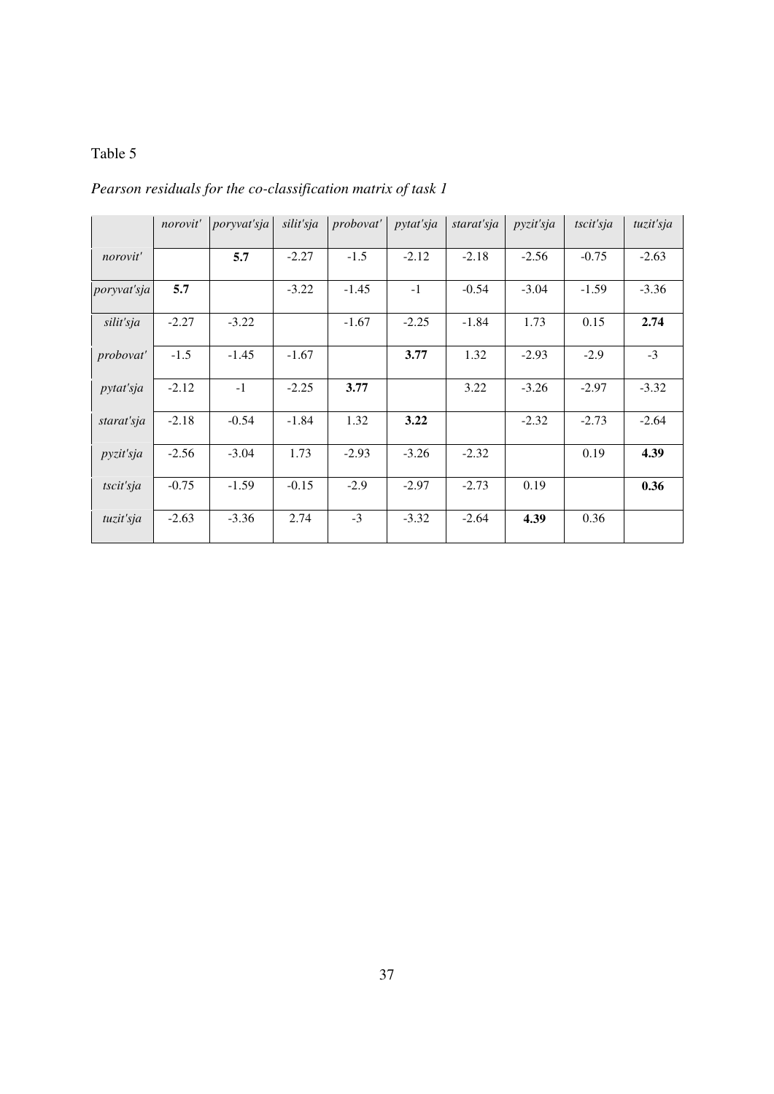| Pearson residuals for the co-classification matrix of task 1 |  |  |
|--------------------------------------------------------------|--|--|
|                                                              |  |  |

|                  | norovit' | poryvat'sja | silit'sja | probovat' | pytat'sja | starat'sja | pyzit'sja | tscit'sja | tuzit'sja |
|------------------|----------|-------------|-----------|-----------|-----------|------------|-----------|-----------|-----------|
| norovit'         |          | 5.7         | $-2.27$   | $-1.5$    | $-2.12$   | $-2.18$    | $-2.56$   | $-0.75$   | $-2.63$   |
| poryvat'sja      | 5.7      |             | $-3.22$   | $-1.45$   | $-1$      | $-0.54$    | $-3.04$   | $-1.59$   | $-3.36$   |
| silit'sja        | $-2.27$  | $-3.22$     |           | $-1.67$   | $-2.25$   | $-1.84$    | 1.73      | 0.15      | 2.74      |
| <i>probovat'</i> | $-1.5$   | $-1.45$     | $-1.67$   |           | 3.77      | 1.32       | $-2.93$   | $-2.9$    | $-3$      |
| <i>pytat'sja</i> | $-2.12$  | $-1$        | $-2.25$   | 3.77      |           | 3.22       | $-3.26$   | $-2.97$   | $-3.32$   |
| starat'sja       | $-2.18$  | $-0.54$     | $-1.84$   | 1.32      | 3.22      |            | $-2.32$   | $-2.73$   | $-2.64$   |
| pyzit'sja        | $-2.56$  | $-3.04$     | 1.73      | $-2.93$   | $-3.26$   | $-2.32$    |           | 0.19      | 4.39      |
| tscit'sja        | $-0.75$  | $-1.59$     | $-0.15$   | $-2.9$    | $-2.97$   | $-2.73$    | 0.19      |           | 0.36      |
| tuzit'sja        | $-2.63$  | $-3.36$     | 2.74      | $-3$      | $-3.32$   | $-2.64$    | 4.39      | 0.36      |           |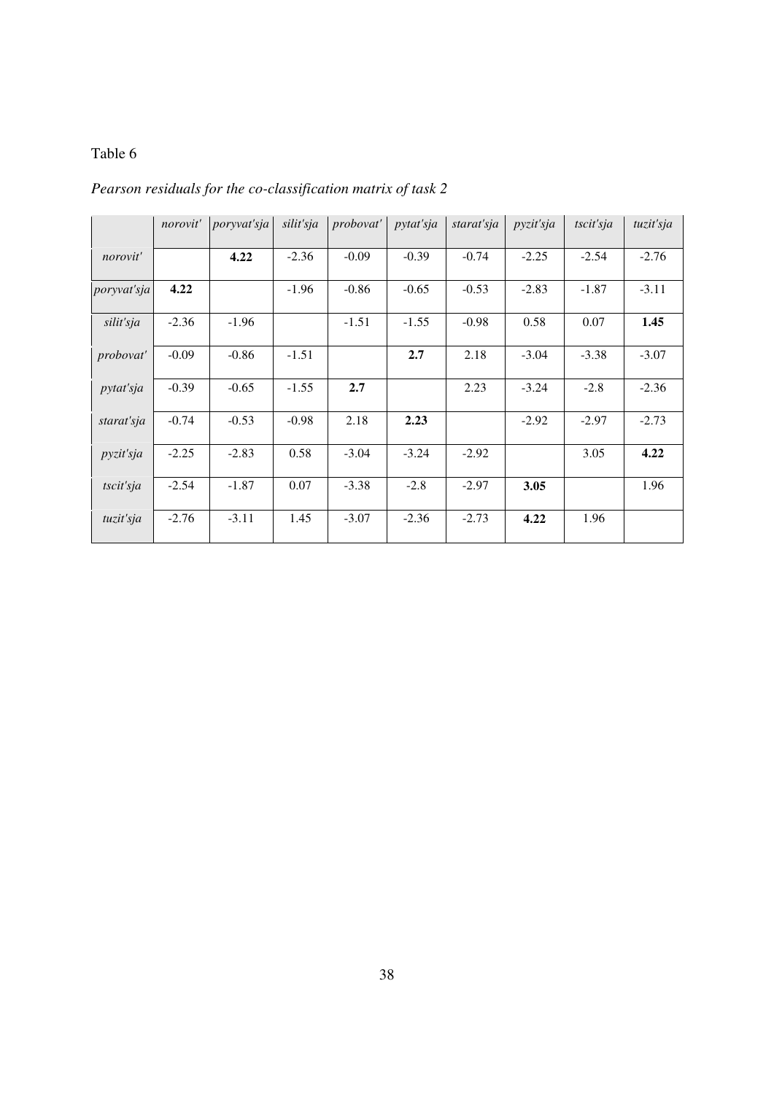*Pearson residuals for the co-classification matrix of task 2* 

|                    | norovit' | poryvat'sja | silit'sja | probovat' | <i>pytat'sja</i> | starat'sja | pyzit'sja | tscit'sja | tuzit'sja |
|--------------------|----------|-------------|-----------|-----------|------------------|------------|-----------|-----------|-----------|
| norovit'           |          | 4.22        | $-2.36$   | $-0.09$   | $-0.39$          | $-0.74$    | $-2.25$   | $-2.54$   | $-2.76$   |
| <i>poryvat'sja</i> | 4.22     |             | $-1.96$   | $-0.86$   | $-0.65$          | $-0.53$    | $-2.83$   | $-1.87$   | $-3.11$   |
| silit'sja          | $-2.36$  | $-1.96$     |           | $-1.51$   | $-1.55$          | $-0.98$    | 0.58      | 0.07      | 1.45      |
| <i>probovat'</i>   | $-0.09$  | $-0.86$     | $-1.51$   |           | 2.7              | 2.18       | $-3.04$   | $-3.38$   | $-3.07$   |
| <i>pytat'sja</i>   | $-0.39$  | $-0.65$     | $-1.55$   | 2.7       |                  | 2.23       | $-3.24$   | $-2.8$    | $-2.36$   |
| starat'sja         | $-0.74$  | $-0.53$     | $-0.98$   | 2.18      | 2.23             |            | $-2.92$   | $-2.97$   | $-2.73$   |
| pyzit'sja          | $-2.25$  | $-2.83$     | 0.58      | $-3.04$   | $-3.24$          | $-2.92$    |           | 3.05      | 4.22      |
| tscit'sja          | $-2.54$  | $-1.87$     | 0.07      | $-3.38$   | $-2.8$           | $-2.97$    | 3.05      |           | 1.96      |
| tuzit'sja          | $-2.76$  | $-3.11$     | 1.45      | $-3.07$   | $-2.36$          | $-2.73$    | 4.22      | 1.96      |           |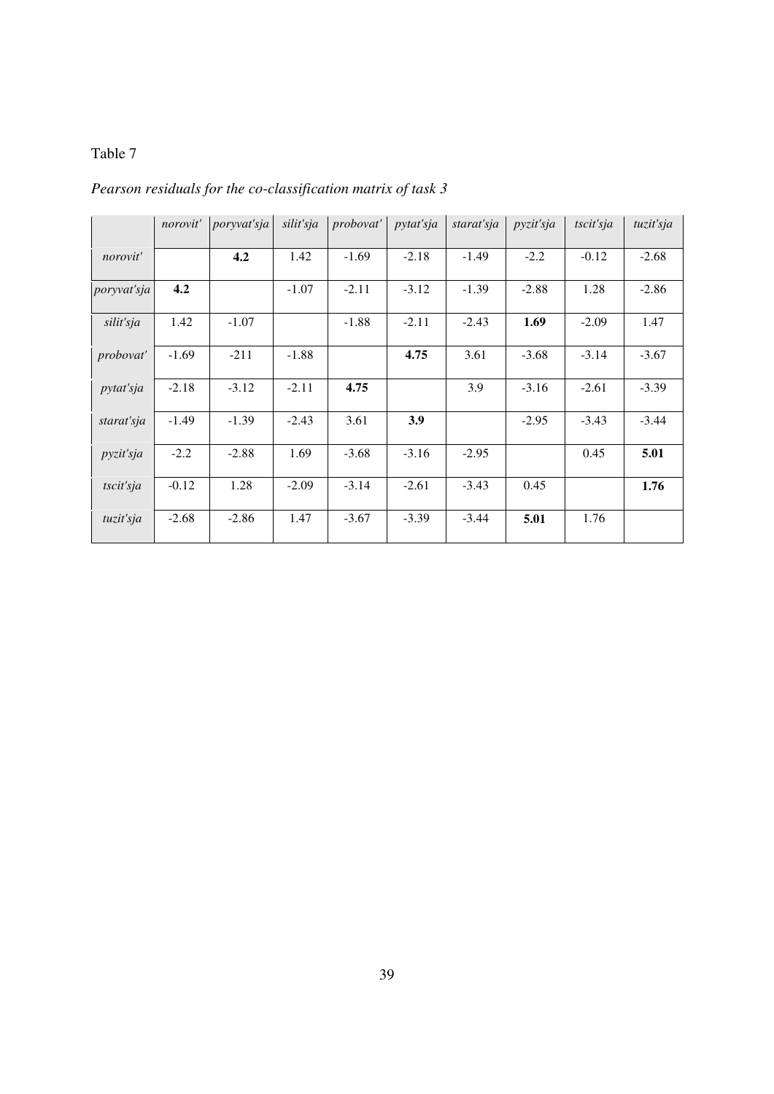|                  | norovit' | poryvat'sja | silit'sja | probovat' | <i>pytat'sja</i> | starat'sja | pyzit'sja | tscit'sja | tuzit'sja |
|------------------|----------|-------------|-----------|-----------|------------------|------------|-----------|-----------|-----------|
| norovit'         |          | 4.2         | 1.42      | $-1.69$   | $-2.18$          | $-1.49$    | $-2.2$    | $-0.12$   | $-2.68$   |
| poryvat'sja      | 4.2      |             | $-1.07$   | $-2.11$   | $-3.12$          | $-1.39$    | $-2.88$   | 1.28      | $-2.86$   |
| silit'sja        | 1.42     | $-1.07$     |           | $-1.88$   | $-2.11$          | $-2.43$    | 1.69      | $-2.09$   | 1.47      |
| probovat'        | $-1.69$  | $-211$      | $-1.88$   |           | 4.75             | 3.61       | $-3.68$   | $-3.14$   | $-3.67$   |
| <i>pytat'sja</i> | $-2.18$  | $-3.12$     | $-2.11$   | 4.75      |                  | 3.9        | $-3.16$   | $-2.61$   | $-3.39$   |
| starat'sja       | $-1.49$  | $-1.39$     | $-2.43$   | 3.61      | 3.9              |            | $-2.95$   | $-3.43$   | $-3.44$   |
| pyzit'sja        | $-2.2$   | $-2.88$     | 1.69      | $-3.68$   | $-3.16$          | $-2.95$    |           | 0.45      | 5.01      |
| tscit'sja        | $-0.12$  | 1.28        | $-2.09$   | $-3.14$   | $-2.61$          | $-3.43$    | 0.45      |           | 1.76      |
| tuzit'sja        | $-2.68$  | $-2.86$     | 1.47      | $-3.67$   | $-3.39$          | $-3.44$    | 5.01      | 1.76      |           |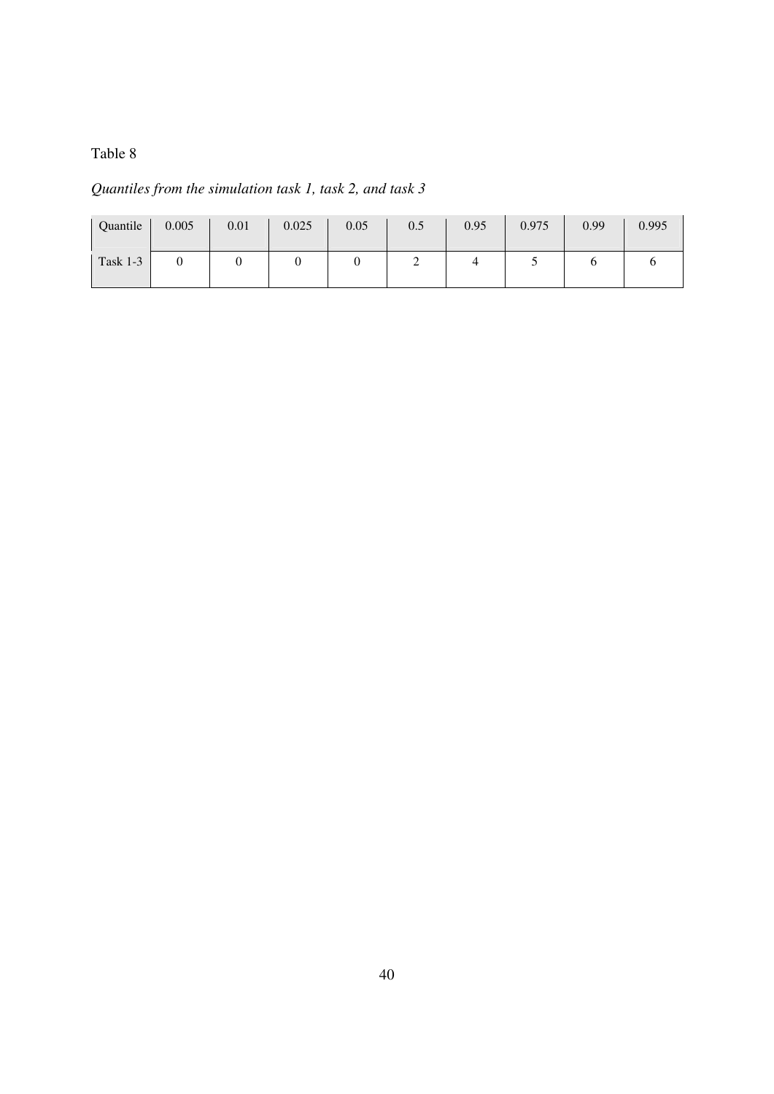*Quantiles from the simulation task 1, task 2, and task 3* 

| Quantile | 0.005 | 0.01 | 0.025 | 0.05 | 0.5 | 0.95 | 0.975 | 0.99 | 0.995 |
|----------|-------|------|-------|------|-----|------|-------|------|-------|
| Task 1-3 |       |      | ◡     |      | ∼   | 4    | ັ     |      |       |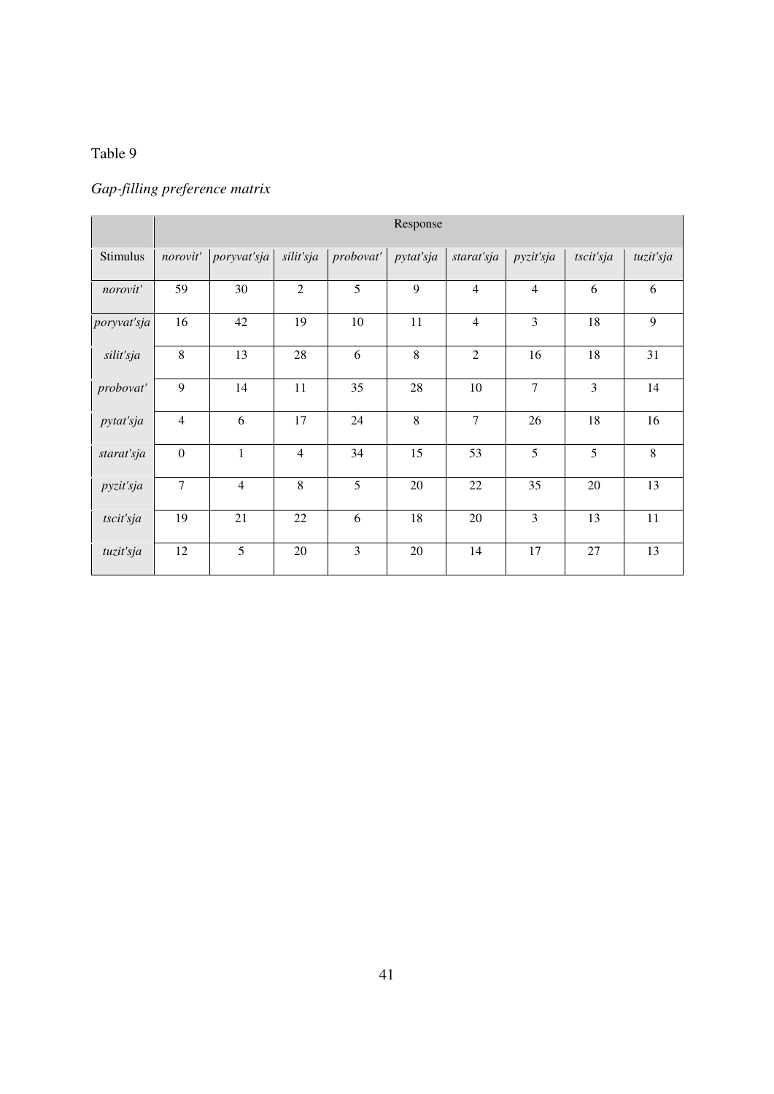## *Gap-filling preference matrix*

|             | Response        |                |                |           |           |                |                |                |           |
|-------------|-----------------|----------------|----------------|-----------|-----------|----------------|----------------|----------------|-----------|
| Stimulus    | norovit'        | poryvat'sja    | silit'sja      | probovat' | pytat'sja | starat'sja     | pyzit'sja      | tscit'sja      | tuzit'sja |
| norovit'    | 59              | 30             | $\mathfrak{2}$ | 5         | 9         | $\overline{4}$ | $\overline{4}$ | 6              | 6         |
| poryvat'sja | 16              | 42             | 19             | 10        | 11        | $\overline{4}$ | 3              | 18             | 9         |
| silit'sja   | 8               | 13             | 28             | 6         | $8\,$     | $\overline{2}$ | 16             | 18             | 31        |
| probovat'   | 9               | 14             | 11             | 35        | 28        | 10             | $\overline{7}$ | $\overline{3}$ | 14        |
| pytat'sja   | $\overline{4}$  | 6              | 17             | 24        | 8         | $\overline{7}$ | 26             | 18             | 16        |
| starat'sja  | $\mathbf{0}$    | $\mathbf{1}$   | $\overline{4}$ | 34        | 15        | 53             | 5              | 5              | 8         |
| pyzit'sja   | $7\phantom{.0}$ | $\overline{4}$ | 8              | 5         | 20        | 22             | 35             | 20             | 13        |
| tscit'sja   | 19              | 21             | 22             | 6         | 18        | 20             | 3              | 13             | 11        |
| tuzit'sja   | 12              | 5              | 20             | 3         | 20        | 14             | 17             | 27             | 13        |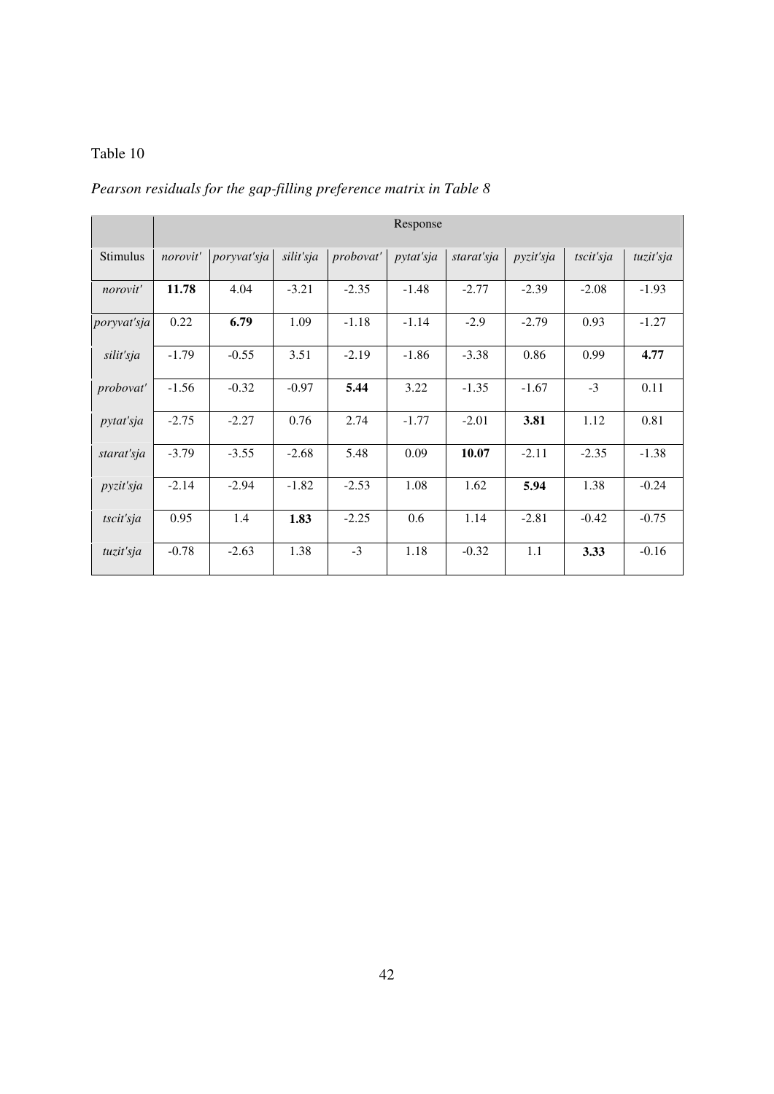## *Pearson residuals for the gap-filling preference matrix in Table 8*

|             | Response |             |           |           |           |            |           |           |           |
|-------------|----------|-------------|-----------|-----------|-----------|------------|-----------|-----------|-----------|
| Stimulus    | norovit' | poryvat'sja | silit'sja | probovat' | pytat'sja | starat'sja | pyzit'sja | tscit'sja | tuzit'sja |
| norovit'    | 11.78    | 4.04        | $-3.21$   | $-2.35$   | $-1.48$   | $-2.77$    | $-2.39$   | $-2.08$   | $-1.93$   |
| poryvat'sja | 0.22     | 6.79        | 1.09      | $-1.18$   | $-1.14$   | $-2.9$     | $-2.79$   | 0.93      | $-1.27$   |
| silit'sja   | $-1.79$  | $-0.55$     | 3.51      | $-2.19$   | $-1.86$   | $-3.38$    | 0.86      | 0.99      | 4.77      |
| probovat'   | $-1.56$  | $-0.32$     | $-0.97$   | 5.44      | 3.22      | $-1.35$    | $-1.67$   | $-3$      | 0.11      |
| pytat'sja   | $-2.75$  | $-2.27$     | 0.76      | 2.74      | $-1.77$   | $-2.01$    | 3.81      | 1.12      | 0.81      |
| starat'sja  | $-3.79$  | $-3.55$     | $-2.68$   | 5.48      | 0.09      | 10.07      | $-2.11$   | $-2.35$   | $-1.38$   |
| pyzit'sja   | $-2.14$  | $-2.94$     | $-1.82$   | $-2.53$   | 1.08      | 1.62       | 5.94      | 1.38      | $-0.24$   |
| tscit'sja   | 0.95     | 1.4         | 1.83      | $-2.25$   | 0.6       | 1.14       | $-2.81$   | $-0.42$   | $-0.75$   |
| tuzit'sja   | $-0.78$  | $-2.63$     | 1.38      | $-3$      | 1.18      | $-0.32$    | 1.1       | 3.33      | $-0.16$   |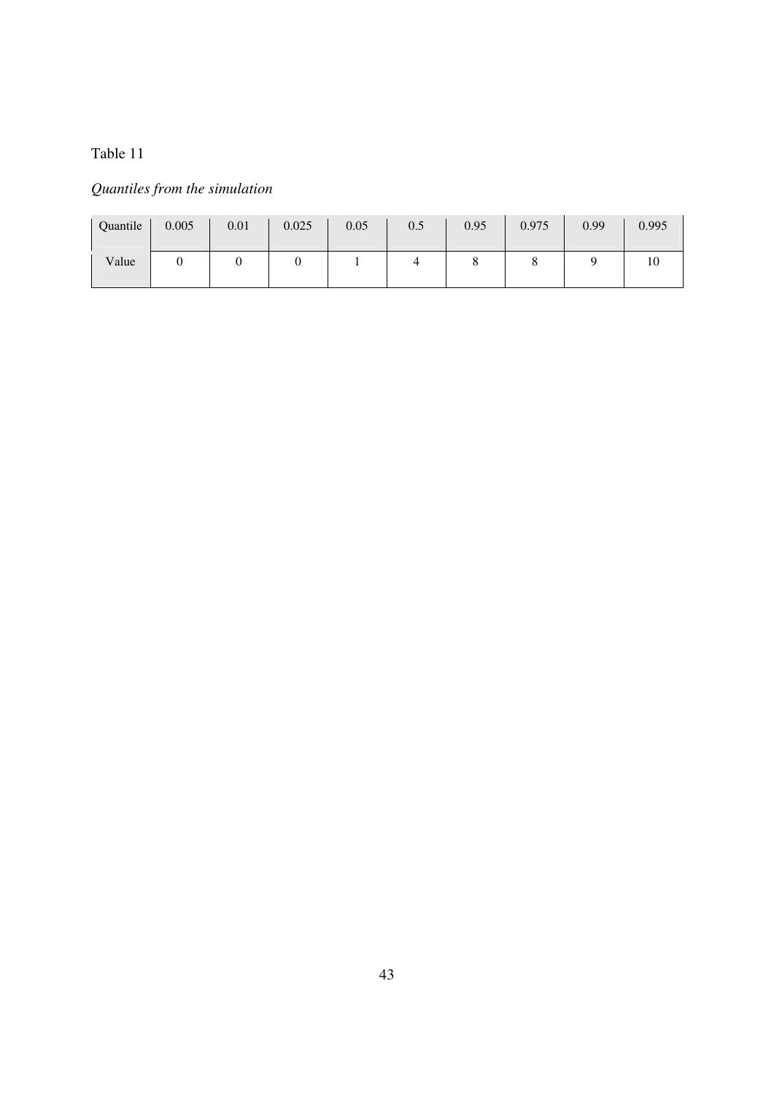## *Quantiles from the simulation*

| Quantile | 0.005 | 0.01 | 0.025 | 0.05 | $0.5\,$ | 0.95 | 0.975 | 0.99 | 0.995 |
|----------|-------|------|-------|------|---------|------|-------|------|-------|
| Value    |       |      | ິ     |      |         |      | u     |      | 10    |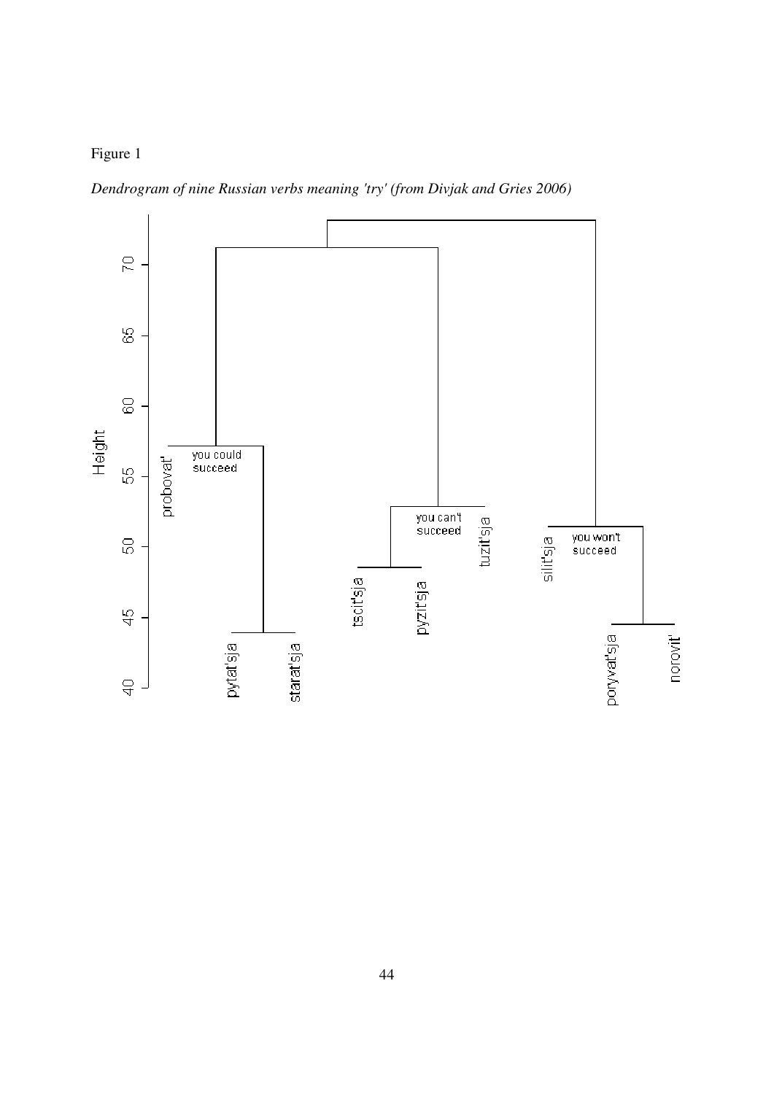

*Dendrogram of nine Russian verbs meaning 'try' (from Divjak and Gries 2006)* 

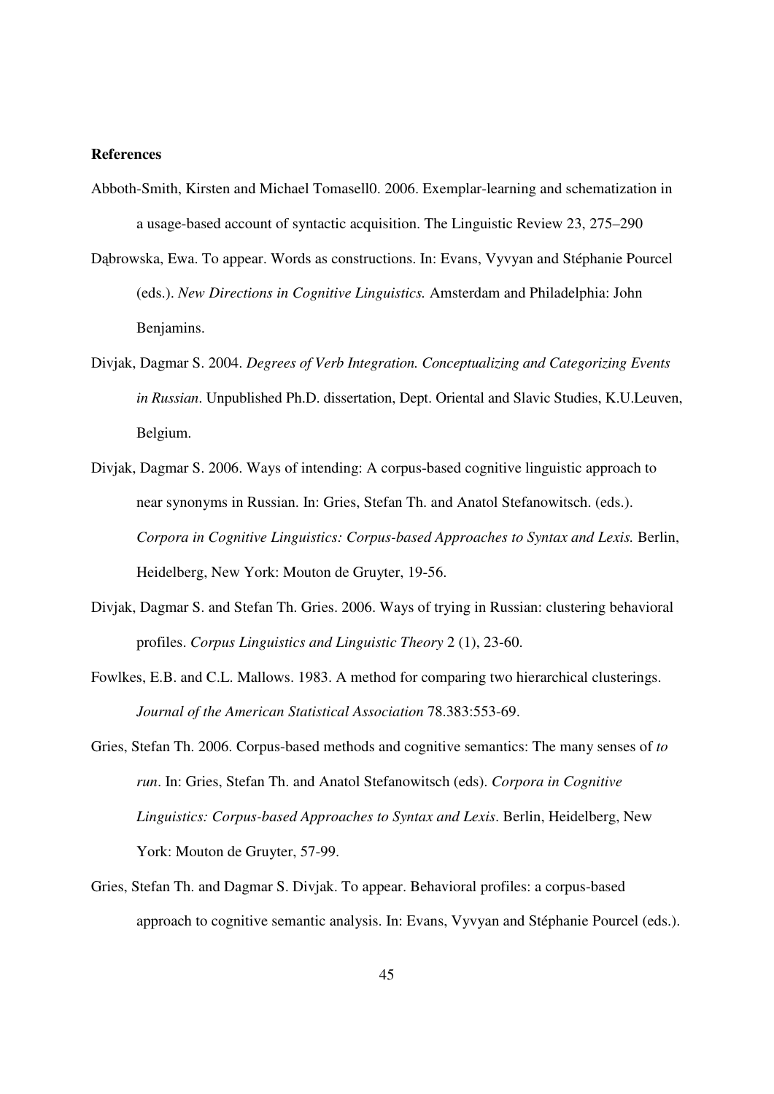#### **References**

- Abboth-Smith, Kirsten and Michael Tomasell0. 2006. Exemplar-learning and schematization in a usage-based account of syntactic acquisition. The Linguistic Review 23, 275–290
- Dąbrowska, Ewa. To appear. Words as constructions. In: Evans, Vyvyan and Stéphanie Pourcel (eds.). *New Directions in Cognitive Linguistics.* Amsterdam and Philadelphia: John Benjamins.
- Divjak, Dagmar S. 2004. *Degrees of Verb Integration. Conceptualizing and Categorizing Events in Russian*. Unpublished Ph.D. dissertation, Dept. Oriental and Slavic Studies, K.U.Leuven, Belgium.
- Divjak, Dagmar S. 2006. Ways of intending: A corpus-based cognitive linguistic approach to near synonyms in Russian. In: Gries, Stefan Th. and Anatol Stefanowitsch. (eds.). *Corpora in Cognitive Linguistics: Corpus-based Approaches to Syntax and Lexis.* Berlin, Heidelberg, New York: Mouton de Gruyter, 19-56.
- Divjak, Dagmar S. and Stefan Th. Gries. 2006. Ways of trying in Russian: clustering behavioral profiles. *Corpus Linguistics and Linguistic Theory* 2 (1), 23-60.
- Fowlkes, E.B. and C.L. Mallows. 1983. A method for comparing two hierarchical clusterings. *Journal of the American Statistical Association* 78.383:553-69.
- Gries, Stefan Th. 2006. Corpus-based methods and cognitive semantics: The many senses of *to run*. In: Gries, Stefan Th. and Anatol Stefanowitsch (eds). *Corpora in Cognitive Linguistics: Corpus-based Approaches to Syntax and Lexis*. Berlin, Heidelberg, New York: Mouton de Gruyter, 57-99.
- Gries, Stefan Th. and Dagmar S. Divjak. To appear. Behavioral profiles: a corpus-based approach to cognitive semantic analysis. In: Evans, Vyvyan and Stéphanie Pourcel (eds.).